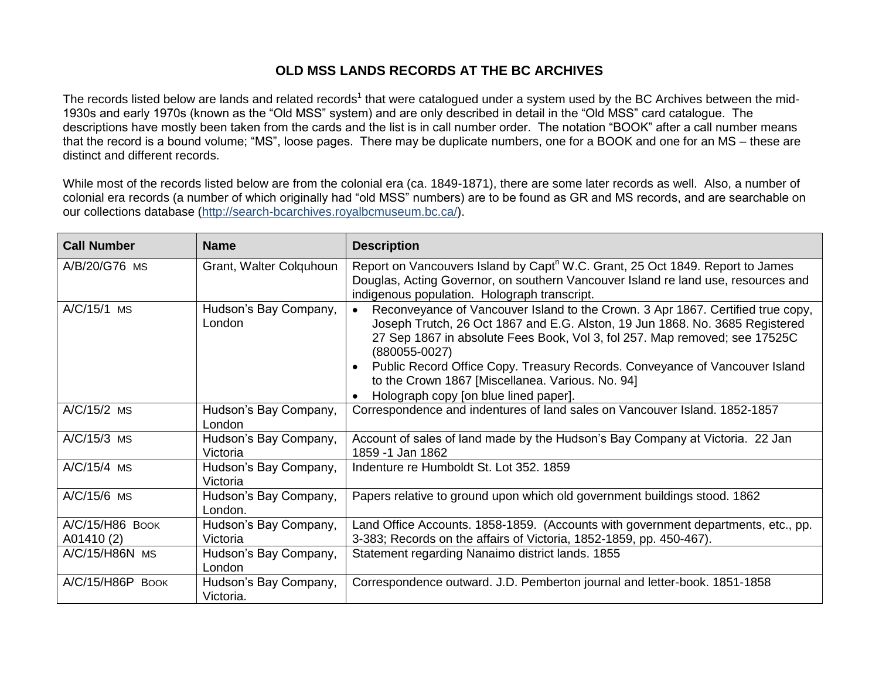## **OLD MSS LANDS RECORDS AT THE BC ARCHIVES**

The records listed below are lands and related records<sup>1</sup> that were catalogued under a system used by the BC Archives between the mid-1930s and early 1970s (known as the "Old MSS" system) and are only described in detail in the "Old MSS" card catalogue. The descriptions have mostly been taken from the cards and the list is in call number order. The notation "BOOK" after a call number means that the record is a bound volume; "MS", loose pages. There may be duplicate numbers, one for a BOOK and one for an MS – these are distinct and different records.

While most of the records listed below are from the colonial era (ca. 1849-1871), there are some later records as well. Also, a number of colonial era records (a number of which originally had "old MSS" numbers) are to be found as GR and MS records, and are searchable on our collections database [\(http://search-bcarchives.royalbcmuseum.bc.ca/\)](http://search-bcarchives.royalbcmuseum.bc.ca/).

| <b>Call Number</b>            | <b>Name</b>                        | <b>Description</b>                                                                                                                                                                                                                                                                                                                                             |
|-------------------------------|------------------------------------|----------------------------------------------------------------------------------------------------------------------------------------------------------------------------------------------------------------------------------------------------------------------------------------------------------------------------------------------------------------|
| A/B/20/G76 MS                 | Grant, Walter Colquhoun            | Report on Vancouvers Island by Capt <sup>n</sup> W.C. Grant, 25 Oct 1849. Report to James<br>Douglas, Acting Governor, on southern Vancouver Island re land use, resources and<br>indigenous population. Holograph transcript.                                                                                                                                 |
| A/C/15/1 MS                   | Hudson's Bay Company,<br>London    | Reconveyance of Vancouver Island to the Crown. 3 Apr 1867. Certified true copy,<br>$\bullet$<br>Joseph Trutch, 26 Oct 1867 and E.G. Alston, 19 Jun 1868. No. 3685 Registered<br>27 Sep 1867 in absolute Fees Book, Vol 3, fol 257. Map removed; see 17525C<br>$(880055 - 0027)$<br>Public Record Office Copy. Treasury Records. Conveyance of Vancouver Island |
|                               |                                    | to the Crown 1867 [Miscellanea. Various. No. 94]<br>Holograph copy [on blue lined paper].                                                                                                                                                                                                                                                                      |
| A/C/15/2 MS                   | Hudson's Bay Company,<br>London    | Correspondence and indentures of land sales on Vancouver Island. 1852-1857                                                                                                                                                                                                                                                                                     |
| $A/C/15/3$ MS                 | Hudson's Bay Company,<br>Victoria  | Account of sales of land made by the Hudson's Bay Company at Victoria. 22 Jan<br>1859 -1 Jan 1862                                                                                                                                                                                                                                                              |
| A/C/15/4 MS                   | Hudson's Bay Company,<br>Victoria  | Indenture re Humboldt St. Lot 352. 1859                                                                                                                                                                                                                                                                                                                        |
| A/C/15/6 MS                   | Hudson's Bay Company,<br>London.   | Papers relative to ground upon which old government buildings stood. 1862                                                                                                                                                                                                                                                                                      |
| A/C/15/H86 BOOK<br>A01410 (2) | Hudson's Bay Company,<br>Victoria  | Land Office Accounts. 1858-1859. (Accounts with government departments, etc., pp.<br>3-383; Records on the affairs of Victoria, 1852-1859, pp. 450-467).                                                                                                                                                                                                       |
| A/C/15/H86N MS                | Hudson's Bay Company,<br>London    | Statement regarding Nanaimo district lands. 1855                                                                                                                                                                                                                                                                                                               |
| A/C/15/H86P BOOK              | Hudson's Bay Company,<br>Victoria. | Correspondence outward. J.D. Pemberton journal and letter-book. 1851-1858                                                                                                                                                                                                                                                                                      |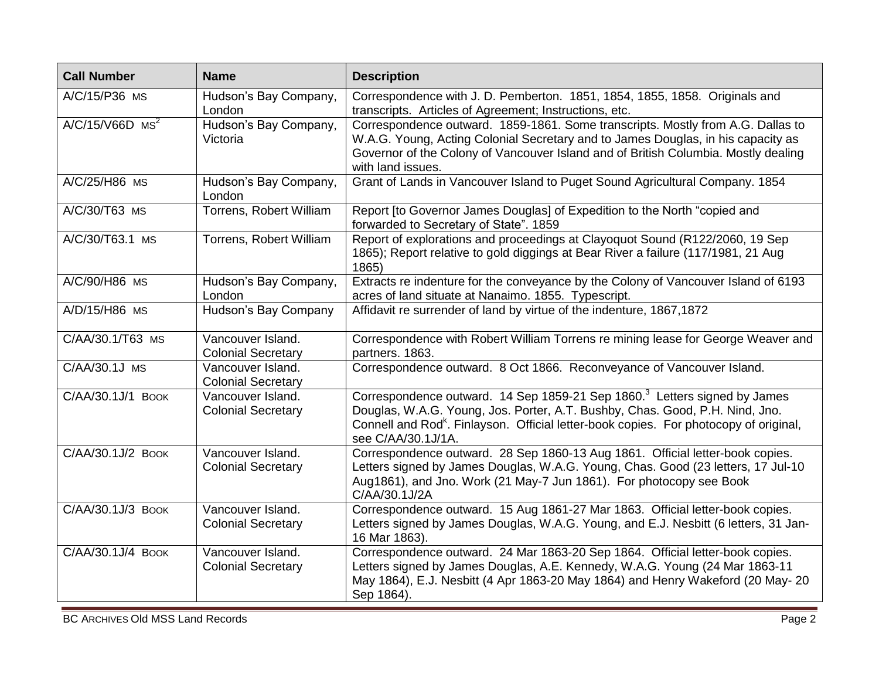| <b>Call Number</b>            | <b>Name</b>                                    | <b>Description</b>                                                                                                                                                                                                                                                                               |
|-------------------------------|------------------------------------------------|--------------------------------------------------------------------------------------------------------------------------------------------------------------------------------------------------------------------------------------------------------------------------------------------------|
| A/C/15/P36 MS                 | Hudson's Bay Company,<br>London                | Correspondence with J. D. Pemberton. 1851, 1854, 1855, 1858. Originals and<br>transcripts. Articles of Agreement; Instructions, etc.                                                                                                                                                             |
| $A/C/15/V66D$ MS <sup>2</sup> | Hudson's Bay Company,<br>Victoria              | Correspondence outward. 1859-1861. Some transcripts. Mostly from A.G. Dallas to<br>W.A.G. Young, Acting Colonial Secretary and to James Douglas, in his capacity as<br>Governor of the Colony of Vancouver Island and of British Columbia. Mostly dealing<br>with land issues.                   |
| A/C/25/H86 MS                 | Hudson's Bay Company,<br>London                | Grant of Lands in Vancouver Island to Puget Sound Agricultural Company. 1854                                                                                                                                                                                                                     |
| A/C/30/T63 MS                 | Torrens, Robert William                        | Report [to Governor James Douglas] of Expedition to the North "copied and<br>forwarded to Secretary of State". 1859                                                                                                                                                                              |
| A/C/30/T63.1 MS               | Torrens, Robert William                        | Report of explorations and proceedings at Clayoquot Sound (R122/2060, 19 Sep<br>1865); Report relative to gold diggings at Bear River a failure (117/1981, 21 Aug<br>1865)                                                                                                                       |
| A/C/90/H86 MS                 | Hudson's Bay Company,<br>London                | Extracts re indenture for the conveyance by the Colony of Vancouver Island of 6193<br>acres of land situate at Nanaimo. 1855. Typescript.                                                                                                                                                        |
| A/D/15/H86 MS                 | Hudson's Bay Company                           | Affidavit re surrender of land by virtue of the indenture, 1867,1872                                                                                                                                                                                                                             |
| C/AA/30.1/T63 MS              | Vancouver Island.<br><b>Colonial Secretary</b> | Correspondence with Robert William Torrens re mining lease for George Weaver and<br>partners. 1863.                                                                                                                                                                                              |
| C/AA/30.1J MS                 | Vancouver Island.<br><b>Colonial Secretary</b> | Correspondence outward. 8 Oct 1866. Reconveyance of Vancouver Island.                                                                                                                                                                                                                            |
| C/AA/30.1J/1 BOOK             | Vancouver Island.<br><b>Colonial Secretary</b> | Correspondence outward. 14 Sep 1859-21 Sep 1860. <sup>3</sup> Letters signed by James<br>Douglas, W.A.G. Young, Jos. Porter, A.T. Bushby, Chas. Good, P.H. Nind, Jno.<br>Connell and Rod <sup>k</sup> . Finlayson. Official letter-book copies. For photocopy of original,<br>see C/AA/30.1J/1A. |
| C/AA/30.1J/2 BOOK             | Vancouver Island.<br><b>Colonial Secretary</b> | Correspondence outward. 28 Sep 1860-13 Aug 1861. Official letter-book copies.<br>Letters signed by James Douglas, W.A.G. Young, Chas. Good (23 letters, 17 Jul-10<br>Aug1861), and Jno. Work (21 May-7 Jun 1861). For photocopy see Book<br>C/AA/30.1J/2A                                        |
| C/AA/30.1J/3 BOOK             | Vancouver Island.<br><b>Colonial Secretary</b> | Correspondence outward. 15 Aug 1861-27 Mar 1863. Official letter-book copies.<br>Letters signed by James Douglas, W.A.G. Young, and E.J. Nesbitt (6 letters, 31 Jan-<br>16 Mar 1863).                                                                                                            |
| C/AA/30.1J/4 BOOK             | Vancouver Island.<br><b>Colonial Secretary</b> | Correspondence outward. 24 Mar 1863-20 Sep 1864. Official letter-book copies.<br>Letters signed by James Douglas, A.E. Kennedy, W.A.G. Young (24 Mar 1863-11<br>May 1864), E.J. Nesbitt (4 Apr 1863-20 May 1864) and Henry Wakeford (20 May- 20<br>Sep 1864).                                    |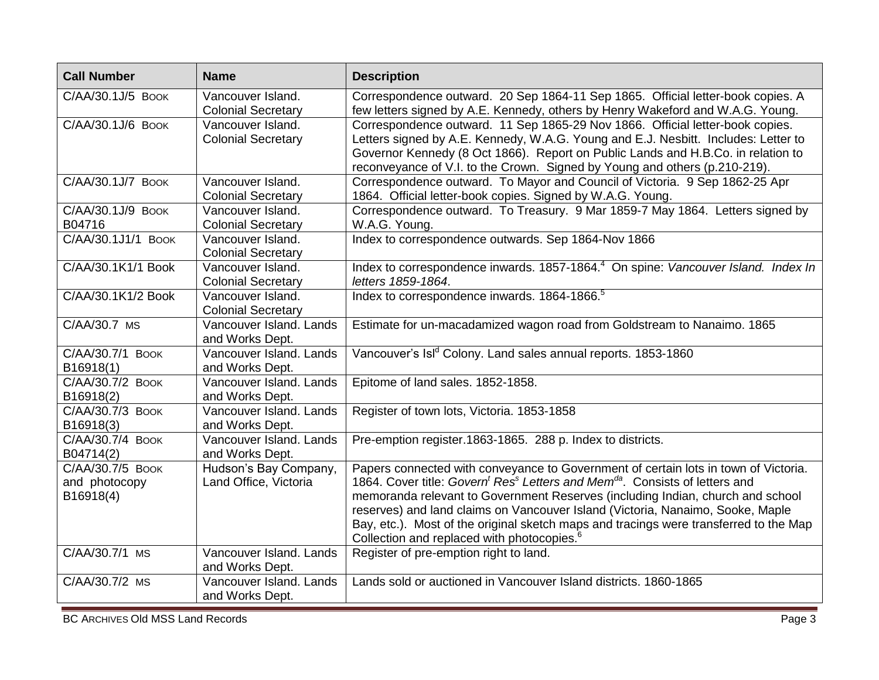| <b>Call Number</b>                             | <b>Name</b>                                    | <b>Description</b>                                                                                                                                                                                                                                                                                                                                                                                                                                                                                                            |
|------------------------------------------------|------------------------------------------------|-------------------------------------------------------------------------------------------------------------------------------------------------------------------------------------------------------------------------------------------------------------------------------------------------------------------------------------------------------------------------------------------------------------------------------------------------------------------------------------------------------------------------------|
| C/AA/30.1J/5 BOOK                              | Vancouver Island.<br><b>Colonial Secretary</b> | Correspondence outward. 20 Sep 1864-11 Sep 1865. Official letter-book copies. A<br>few letters signed by A.E. Kennedy, others by Henry Wakeford and W.A.G. Young.                                                                                                                                                                                                                                                                                                                                                             |
| C/AA/30.1J/6 BOOK                              | Vancouver Island.<br><b>Colonial Secretary</b> | Correspondence outward. 11 Sep 1865-29 Nov 1866. Official letter-book copies.<br>Letters signed by A.E. Kennedy, W.A.G. Young and E.J. Nesbitt. Includes: Letter to<br>Governor Kennedy (8 Oct 1866). Report on Public Lands and H.B.Co. in relation to<br>reconveyance of V.I. to the Crown. Signed by Young and others (p.210-219).                                                                                                                                                                                         |
| C/AA/30.1J/7 BOOK                              | Vancouver Island.<br><b>Colonial Secretary</b> | Correspondence outward. To Mayor and Council of Victoria. 9 Sep 1862-25 Apr<br>1864. Official letter-book copies. Signed by W.A.G. Young.                                                                                                                                                                                                                                                                                                                                                                                     |
| C/AA/30.1J/9 BOOK<br>B04716                    | Vancouver Island.<br><b>Colonial Secretary</b> | Correspondence outward. To Treasury. 9 Mar 1859-7 May 1864. Letters signed by<br>W.A.G. Young.                                                                                                                                                                                                                                                                                                                                                                                                                                |
| C/AA/30.1J1/1 BOOK                             | Vancouver Island.<br><b>Colonial Secretary</b> | Index to correspondence outwards. Sep 1864-Nov 1866                                                                                                                                                                                                                                                                                                                                                                                                                                                                           |
| C/AA/30.1K1/1 Book                             | Vancouver Island.<br><b>Colonial Secretary</b> | Index to correspondence inwards. 1857-1864. <sup>4</sup> On spine: Vancouver Island. Index In<br>letters 1859-1864.                                                                                                                                                                                                                                                                                                                                                                                                           |
| C/AA/30.1K1/2 Book                             | Vancouver Island.<br><b>Colonial Secretary</b> | Index to correspondence inwards. 1864-1866. <sup>5</sup>                                                                                                                                                                                                                                                                                                                                                                                                                                                                      |
| C/AA/30.7 MS                                   | Vancouver Island, Lands<br>and Works Dept.     | Estimate for un-macadamized wagon road from Goldstream to Nanaimo. 1865                                                                                                                                                                                                                                                                                                                                                                                                                                                       |
| C/AA/30.7/1 BOOK<br>B16918(1)                  | Vancouver Island. Lands<br>and Works Dept.     | Vancouver's Isl <sup>d</sup> Colony. Land sales annual reports. 1853-1860                                                                                                                                                                                                                                                                                                                                                                                                                                                     |
| C/AA/30.7/2 BOOK<br>B16918(2)                  | Vancouver Island. Lands<br>and Works Dept.     | Epitome of land sales. 1852-1858.                                                                                                                                                                                                                                                                                                                                                                                                                                                                                             |
| C/AA/30.7/3 BOOK<br>B16918(3)                  | Vancouver Island. Lands<br>and Works Dept.     | Register of town lots, Victoria. 1853-1858                                                                                                                                                                                                                                                                                                                                                                                                                                                                                    |
| C/AA/30.7/4 BOOK<br>B04714(2)                  | Vancouver Island. Lands<br>and Works Dept.     | Pre-emption register.1863-1865. 288 p. Index to districts.                                                                                                                                                                                                                                                                                                                                                                                                                                                                    |
| C/AA/30.7/5 BOOK<br>and photocopy<br>B16918(4) | Hudson's Bay Company,<br>Land Office, Victoria | Papers connected with conveyance to Government of certain lots in town of Victoria.<br>1864. Cover title: Govern <sup>t</sup> Res <sup>s</sup> Letters and Mem <sup>da</sup> . Consists of letters and<br>memoranda relevant to Government Reserves (including Indian, church and school<br>reserves) and land claims on Vancouver Island (Victoria, Nanaimo, Sooke, Maple<br>Bay, etc.). Most of the original sketch maps and tracings were transferred to the Map<br>Collection and replaced with photocopies. <sup>6</sup> |
| C/AA/30.7/1 MS                                 | Vancouver Island. Lands<br>and Works Dept.     | Register of pre-emption right to land.                                                                                                                                                                                                                                                                                                                                                                                                                                                                                        |
| C/AA/30.7/2 MS                                 | Vancouver Island, Lands<br>and Works Dept.     | Lands sold or auctioned in Vancouver Island districts. 1860-1865                                                                                                                                                                                                                                                                                                                                                                                                                                                              |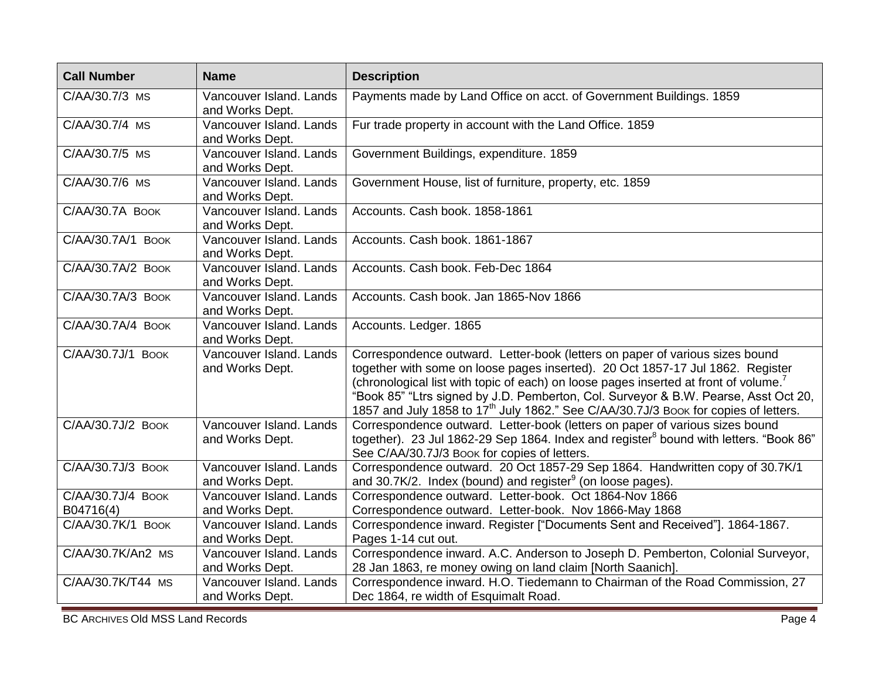| <b>Call Number</b>                           | <b>Name</b>                                | <b>Description</b>                                                                                                                                                                                                                                                                                                                                                                                                                                           |
|----------------------------------------------|--------------------------------------------|--------------------------------------------------------------------------------------------------------------------------------------------------------------------------------------------------------------------------------------------------------------------------------------------------------------------------------------------------------------------------------------------------------------------------------------------------------------|
| C/AA/30.7/3 MS                               | Vancouver Island, Lands<br>and Works Dept. | Payments made by Land Office on acct. of Government Buildings. 1859                                                                                                                                                                                                                                                                                                                                                                                          |
| C/AA/30.7/4 MS                               | Vancouver Island. Lands<br>and Works Dept. | Fur trade property in account with the Land Office. 1859                                                                                                                                                                                                                                                                                                                                                                                                     |
| C/AA/30.7/5 MS                               | Vancouver Island. Lands<br>and Works Dept. | Government Buildings, expenditure. 1859                                                                                                                                                                                                                                                                                                                                                                                                                      |
| C/AA/30.7/6 MS                               | Vancouver Island. Lands<br>and Works Dept. | Government House, list of furniture, property, etc. 1859                                                                                                                                                                                                                                                                                                                                                                                                     |
| C/AA/30.7A BOOK                              | Vancouver Island. Lands<br>and Works Dept. | Accounts. Cash book. 1858-1861                                                                                                                                                                                                                                                                                                                                                                                                                               |
| C/AA/30.7A/1 BOOK                            | Vancouver Island. Lands<br>and Works Dept. | Accounts. Cash book. 1861-1867                                                                                                                                                                                                                                                                                                                                                                                                                               |
| C/AA/30.7A/2 BOOK                            | Vancouver Island. Lands<br>and Works Dept. | Accounts. Cash book. Feb-Dec 1864                                                                                                                                                                                                                                                                                                                                                                                                                            |
| C/AA/30.7A/3 BOOK                            | Vancouver Island, Lands<br>and Works Dept. | Accounts. Cash book. Jan 1865-Nov 1866                                                                                                                                                                                                                                                                                                                                                                                                                       |
| C/AA/30.7A/4 BOOK                            | Vancouver Island, Lands<br>and Works Dept. | Accounts. Ledger. 1865                                                                                                                                                                                                                                                                                                                                                                                                                                       |
| C/AA/30.7J/1 BOOK                            | Vancouver Island, Lands<br>and Works Dept. | Correspondence outward. Letter-book (letters on paper of various sizes bound<br>together with some on loose pages inserted). 20 Oct 1857-17 Jul 1862. Register<br>(chronological list with topic of each) on loose pages inserted at front of volume. <sup>7</sup><br>"Book 85" "Ltrs signed by J.D. Pemberton, Col. Surveyor & B.W. Pearse, Asst Oct 20,<br>1857 and July 1858 to 17 <sup>th</sup> July 1862." See C/AA/30.7J/3 Book for copies of letters. |
| C/AA/30.7J/2 BOOK                            | Vancouver Island, Lands<br>and Works Dept. | Correspondence outward. Letter-book (letters on paper of various sizes bound<br>together). 23 Jul 1862-29 Sep 1864. Index and register <sup>8</sup> bound with letters. "Book 86"<br>See C/AA/30.7J/3 Book for copies of letters.                                                                                                                                                                                                                            |
| C/AA/30.7J/3 BOOK                            | Vancouver Island. Lands<br>and Works Dept. | Correspondence outward. 20 Oct 1857-29 Sep 1864. Handwritten copy of 30.7K/1<br>and 30.7K/2. Index (bound) and register $9$ (on loose pages).                                                                                                                                                                                                                                                                                                                |
| $\overline{C/A}$ A/30.7J/4 BOOK<br>B04716(4) | Vancouver Island. Lands<br>and Works Dept. | Correspondence outward. Letter-book. Oct 1864-Nov 1866<br>Correspondence outward. Letter-book. Nov 1866-May 1868                                                                                                                                                                                                                                                                                                                                             |
| C/AA/30.7K/1 BOOK                            | Vancouver Island. Lands<br>and Works Dept. | Correspondence inward. Register ["Documents Sent and Received"]. 1864-1867.<br>Pages 1-14 cut out.                                                                                                                                                                                                                                                                                                                                                           |
| C/AA/30.7K/An2 MS                            | Vancouver Island. Lands<br>and Works Dept. | Correspondence inward. A.C. Anderson to Joseph D. Pemberton, Colonial Surveyor,<br>28 Jan 1863, re money owing on land claim [North Saanich].                                                                                                                                                                                                                                                                                                                |
| C/AA/30.7K/T44 MS                            | Vancouver Island. Lands<br>and Works Dept. | Correspondence inward. H.O. Tiedemann to Chairman of the Road Commission, 27<br>Dec 1864, re width of Esquimalt Road.                                                                                                                                                                                                                                                                                                                                        |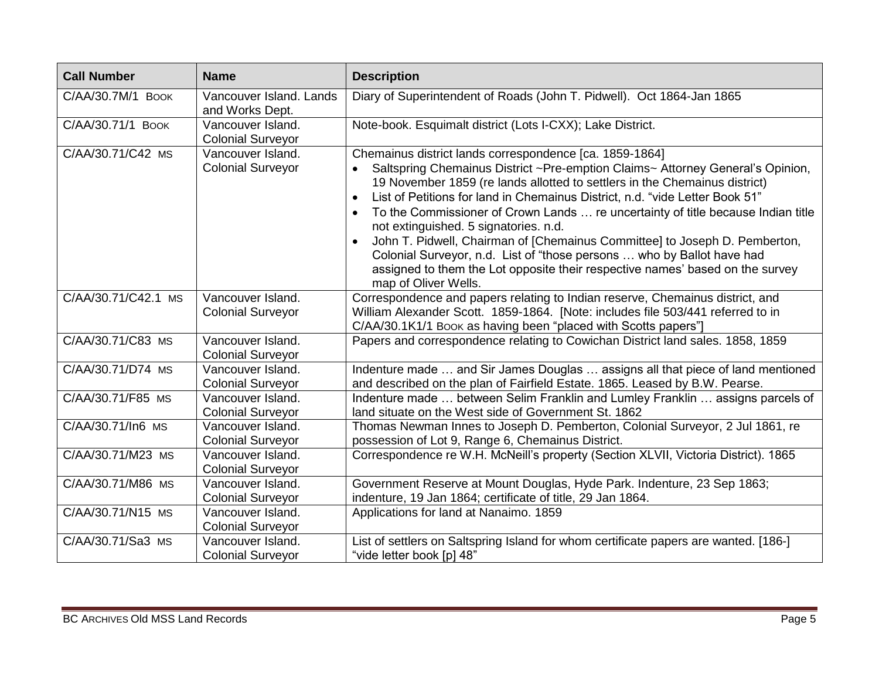| <b>Call Number</b>  | <b>Name</b>                                   | <b>Description</b>                                                                                                                                                                                                                                                                                                                                                                                                                                                                                                                                                                                                                                                                                                 |
|---------------------|-----------------------------------------------|--------------------------------------------------------------------------------------------------------------------------------------------------------------------------------------------------------------------------------------------------------------------------------------------------------------------------------------------------------------------------------------------------------------------------------------------------------------------------------------------------------------------------------------------------------------------------------------------------------------------------------------------------------------------------------------------------------------------|
| С/АА/30.7М/1 Воок   | Vancouver Island. Lands<br>and Works Dept.    | Diary of Superintendent of Roads (John T. Pidwell). Oct 1864-Jan 1865                                                                                                                                                                                                                                                                                                                                                                                                                                                                                                                                                                                                                                              |
| C/AA/30.71/1 BOOK   | Vancouver Island.<br><b>Colonial Surveyor</b> | Note-book. Esquimalt district (Lots I-CXX); Lake District.                                                                                                                                                                                                                                                                                                                                                                                                                                                                                                                                                                                                                                                         |
| C/AA/30.71/C42 MS   | Vancouver Island.<br><b>Colonial Surveyor</b> | Chemainus district lands correspondence [ca. 1859-1864]<br>Saltspring Chemainus District ~Pre-emption Claims~ Attorney General's Opinion,<br>19 November 1859 (re lands allotted to settlers in the Chemainus district)<br>List of Petitions for land in Chemainus District, n.d. "vide Letter Book 51"<br>To the Commissioner of Crown Lands  re uncertainty of title because Indian title<br>$\bullet$<br>not extinguished. 5 signatories. n.d.<br>John T. Pidwell, Chairman of [Chemainus Committee] to Joseph D. Pemberton,<br>Colonial Surveyor, n.d. List of "those persons  who by Ballot have had<br>assigned to them the Lot opposite their respective names' based on the survey<br>map of Oliver Wells. |
| C/AA/30.71/C42.1 MS | Vancouver Island.<br><b>Colonial Surveyor</b> | Correspondence and papers relating to Indian reserve, Chemainus district, and<br>William Alexander Scott. 1859-1864. [Note: includes file 503/441 referred to in<br>C/AA/30.1K1/1 Book as having been "placed with Scotts papers"]                                                                                                                                                                                                                                                                                                                                                                                                                                                                                 |
| C/AA/30.71/C83 MS   | Vancouver Island.<br><b>Colonial Surveyor</b> | Papers and correspondence relating to Cowichan District land sales. 1858, 1859                                                                                                                                                                                                                                                                                                                                                                                                                                                                                                                                                                                                                                     |
| C/AA/30.71/D74 MS   | Vancouver Island.<br><b>Colonial Surveyor</b> | Indenture made  and Sir James Douglas  assigns all that piece of land mentioned<br>and described on the plan of Fairfield Estate. 1865. Leased by B.W. Pearse.                                                                                                                                                                                                                                                                                                                                                                                                                                                                                                                                                     |
| C/AA/30.71/F85 MS   | Vancouver Island.<br><b>Colonial Surveyor</b> | Indenture made  between Selim Franklin and Lumley Franklin  assigns parcels of<br>land situate on the West side of Government St. 1862                                                                                                                                                                                                                                                                                                                                                                                                                                                                                                                                                                             |
| C/AA/30.71/In6 MS   | Vancouver Island.<br><b>Colonial Surveyor</b> | Thomas Newman Innes to Joseph D. Pemberton, Colonial Surveyor, 2 Jul 1861, re<br>possession of Lot 9, Range 6, Chemainus District.                                                                                                                                                                                                                                                                                                                                                                                                                                                                                                                                                                                 |
| C/AA/30.71/M23 MS   | Vancouver Island.<br><b>Colonial Surveyor</b> | Correspondence re W.H. McNeill's property (Section XLVII, Victoria District). 1865                                                                                                                                                                                                                                                                                                                                                                                                                                                                                                                                                                                                                                 |
| C/AA/30.71/M86 MS   | Vancouver Island.<br><b>Colonial Surveyor</b> | Government Reserve at Mount Douglas, Hyde Park. Indenture, 23 Sep 1863;<br>indenture, 19 Jan 1864; certificate of title, 29 Jan 1864.                                                                                                                                                                                                                                                                                                                                                                                                                                                                                                                                                                              |
| C/AA/30.71/N15 MS   | Vancouver Island.<br><b>Colonial Surveyor</b> | Applications for land at Nanaimo. 1859                                                                                                                                                                                                                                                                                                                                                                                                                                                                                                                                                                                                                                                                             |
| C/AA/30.71/Sa3 MS   | Vancouver Island.<br><b>Colonial Surveyor</b> | List of settlers on Saltspring Island for whom certificate papers are wanted. [186-]<br>"vide letter book [p] 48"                                                                                                                                                                                                                                                                                                                                                                                                                                                                                                                                                                                                  |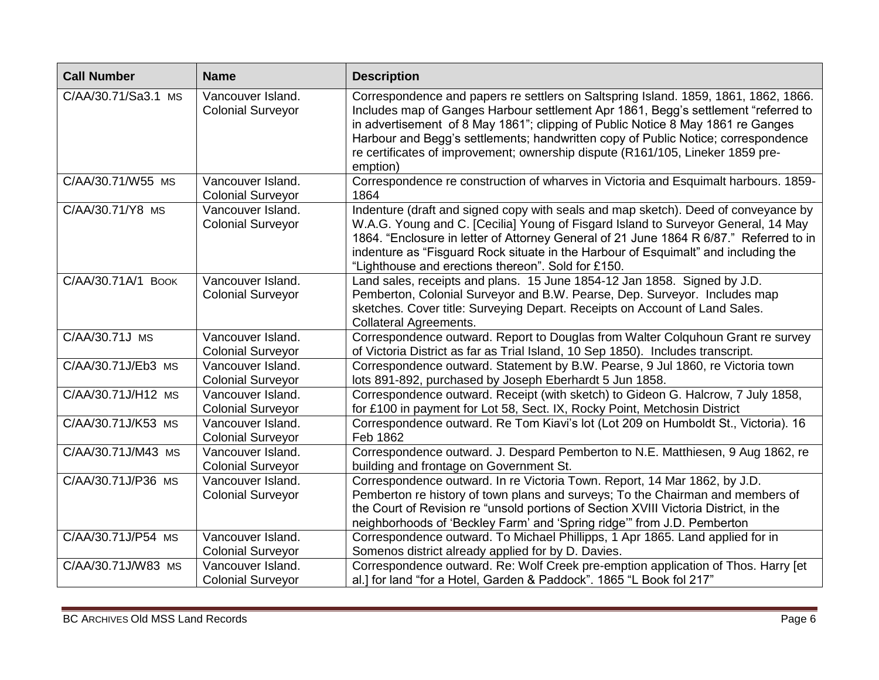| <b>Call Number</b>  | <b>Name</b>                                   | <b>Description</b>                                                                                                                                                                                                                                                                                                                                                                                                                              |
|---------------------|-----------------------------------------------|-------------------------------------------------------------------------------------------------------------------------------------------------------------------------------------------------------------------------------------------------------------------------------------------------------------------------------------------------------------------------------------------------------------------------------------------------|
| C/AA/30.71/Sa3.1 MS | Vancouver Island.<br><b>Colonial Surveyor</b> | Correspondence and papers re settlers on Saltspring Island. 1859, 1861, 1862, 1866.<br>Includes map of Ganges Harbour settlement Apr 1861, Begg's settlement "referred to<br>in advertisement of 8 May 1861"; clipping of Public Notice 8 May 1861 re Ganges<br>Harbour and Begg's settlements; handwritten copy of Public Notice; correspondence<br>re certificates of improvement; ownership dispute (R161/105, Lineker 1859 pre-<br>emption) |
| C/AA/30.71/W55 MS   | Vancouver Island.<br><b>Colonial Surveyor</b> | Correspondence re construction of wharves in Victoria and Esquimalt harbours. 1859-<br>1864                                                                                                                                                                                                                                                                                                                                                     |
| C/AA/30.71/Y8 MS    | Vancouver Island.<br><b>Colonial Surveyor</b> | Indenture (draft and signed copy with seals and map sketch). Deed of conveyance by<br>W.A.G. Young and C. [Cecilia] Young of Fisgard Island to Surveyor General, 14 May<br>1864. "Enclosure in letter of Attorney General of 21 June 1864 R 6/87." Referred to in<br>indenture as "Fisguard Rock situate in the Harbour of Esquimalt" and including the<br>"Lighthouse and erections thereon". Sold for £150.                                   |
| C/AA/30.71A/1 BOOK  | Vancouver Island.<br><b>Colonial Surveyor</b> | Land sales, receipts and plans. 15 June 1854-12 Jan 1858. Signed by J.D.<br>Pemberton, Colonial Surveyor and B.W. Pearse, Dep. Surveyor. Includes map<br>sketches. Cover title: Surveying Depart. Receipts on Account of Land Sales.<br><b>Collateral Agreements.</b>                                                                                                                                                                           |
| C/AA/30.71J MS      | Vancouver Island.<br><b>Colonial Surveyor</b> | Correspondence outward. Report to Douglas from Walter Colquhoun Grant re survey<br>of Victoria District as far as Trial Island, 10 Sep 1850). Includes transcript.                                                                                                                                                                                                                                                                              |
| C/AA/30.71J/Eb3 MS  | Vancouver Island.<br><b>Colonial Surveyor</b> | Correspondence outward. Statement by B.W. Pearse, 9 Jul 1860, re Victoria town<br>lots 891-892, purchased by Joseph Eberhardt 5 Jun 1858.                                                                                                                                                                                                                                                                                                       |
| C/AA/30.71J/H12 MS  | Vancouver Island.<br><b>Colonial Surveyor</b> | Correspondence outward. Receipt (with sketch) to Gideon G. Halcrow, 7 July 1858,<br>for £100 in payment for Lot 58, Sect. IX, Rocky Point, Metchosin District                                                                                                                                                                                                                                                                                   |
| C/AA/30.71J/K53 MS  | Vancouver Island.<br><b>Colonial Surveyor</b> | Correspondence outward. Re Tom Kiavi's lot (Lot 209 on Humboldt St., Victoria). 16<br>Feb 1862                                                                                                                                                                                                                                                                                                                                                  |
| C/AA/30.71J/M43 MS  | Vancouver Island.<br><b>Colonial Surveyor</b> | Correspondence outward. J. Despard Pemberton to N.E. Matthiesen, 9 Aug 1862, re<br>building and frontage on Government St.                                                                                                                                                                                                                                                                                                                      |
| C/AA/30.71J/P36 MS  | Vancouver Island.<br><b>Colonial Surveyor</b> | Correspondence outward. In re Victoria Town. Report, 14 Mar 1862, by J.D.<br>Pemberton re history of town plans and surveys; To the Chairman and members of<br>the Court of Revision re "unsold portions of Section XVIII Victoria District, in the<br>neighborhoods of 'Beckley Farm' and 'Spring ridge'" from J.D. Pemberton                                                                                                                  |
| C/AA/30.71J/P54 MS  | Vancouver Island.<br><b>Colonial Surveyor</b> | Correspondence outward. To Michael Phillipps, 1 Apr 1865. Land applied for in<br>Somenos district already applied for by D. Davies.                                                                                                                                                                                                                                                                                                             |
| C/AA/30.71J/W83 MS  | Vancouver Island.<br><b>Colonial Surveyor</b> | Correspondence outward. Re: Wolf Creek pre-emption application of Thos. Harry [et<br>al.] for land "for a Hotel, Garden & Paddock". 1865 "L Book fol 217"                                                                                                                                                                                                                                                                                       |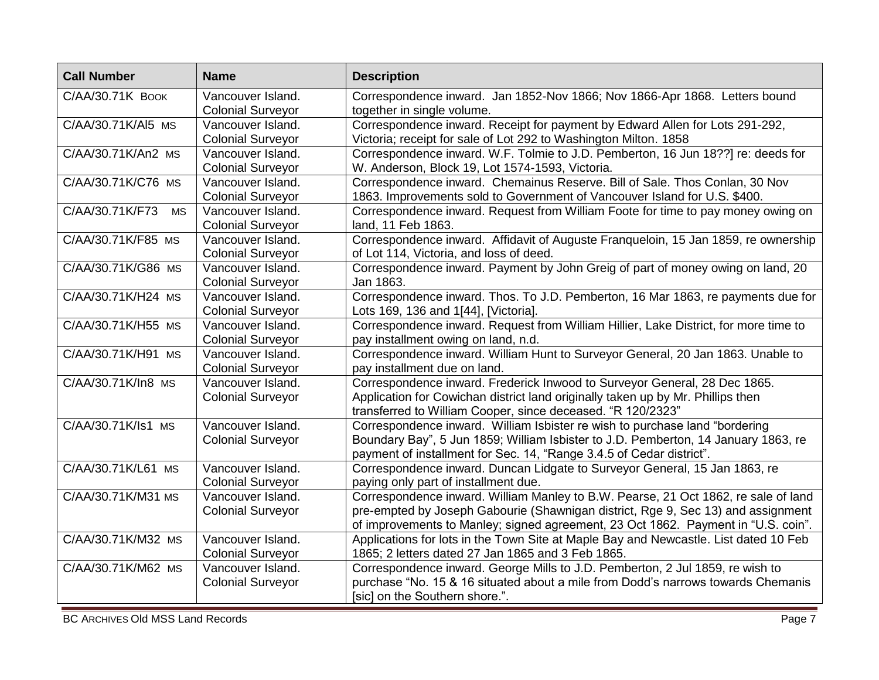| C/AA/30.71K BOOK<br>Correspondence inward. Jan 1852-Nov 1866; Nov 1866-Apr 1868. Letters bound<br>Vancouver Island.<br><b>Colonial Surveyor</b><br>together in single volume.<br>Correspondence inward. Receipt for payment by Edward Allen for Lots 291-292,<br>C/AA/30.71K/Al5 MS<br>Vancouver Island.<br><b>Colonial Surveyor</b><br>Victoria; receipt for sale of Lot 292 to Washington Milton. 1858<br>C/AA/30.71K/An2 MS<br>Vancouver Island.<br>Correspondence inward. W.F. Tolmie to J.D. Pemberton, 16 Jun 18??] re: deeds for<br>W. Anderson, Block 19, Lot 1574-1593, Victoria.<br><b>Colonial Surveyor</b><br>Correspondence inward. Chemainus Reserve. Bill of Sale. Thos Conlan, 30 Nov<br>C/AA/30.71K/C76 MS<br>Vancouver Island.<br><b>Colonial Surveyor</b><br>1863. Improvements sold to Government of Vancouver Island for U.S. \$400.<br>C/AA/30.71K/F73<br>Correspondence inward. Request from William Foote for time to pay money owing on<br>Vancouver Island.<br><b>MS</b><br><b>Colonial Surveyor</b><br>land, 11 Feb 1863. | <b>Call Number</b> | <b>Name</b>       | <b>Description</b>                                                                 |
|------------------------------------------------------------------------------------------------------------------------------------------------------------------------------------------------------------------------------------------------------------------------------------------------------------------------------------------------------------------------------------------------------------------------------------------------------------------------------------------------------------------------------------------------------------------------------------------------------------------------------------------------------------------------------------------------------------------------------------------------------------------------------------------------------------------------------------------------------------------------------------------------------------------------------------------------------------------------------------------------------------------------------------------------------|--------------------|-------------------|------------------------------------------------------------------------------------|
|                                                                                                                                                                                                                                                                                                                                                                                                                                                                                                                                                                                                                                                                                                                                                                                                                                                                                                                                                                                                                                                      |                    |                   |                                                                                    |
|                                                                                                                                                                                                                                                                                                                                                                                                                                                                                                                                                                                                                                                                                                                                                                                                                                                                                                                                                                                                                                                      |                    |                   |                                                                                    |
|                                                                                                                                                                                                                                                                                                                                                                                                                                                                                                                                                                                                                                                                                                                                                                                                                                                                                                                                                                                                                                                      |                    |                   |                                                                                    |
|                                                                                                                                                                                                                                                                                                                                                                                                                                                                                                                                                                                                                                                                                                                                                                                                                                                                                                                                                                                                                                                      |                    |                   |                                                                                    |
|                                                                                                                                                                                                                                                                                                                                                                                                                                                                                                                                                                                                                                                                                                                                                                                                                                                                                                                                                                                                                                                      |                    |                   |                                                                                    |
|                                                                                                                                                                                                                                                                                                                                                                                                                                                                                                                                                                                                                                                                                                                                                                                                                                                                                                                                                                                                                                                      |                    |                   |                                                                                    |
|                                                                                                                                                                                                                                                                                                                                                                                                                                                                                                                                                                                                                                                                                                                                                                                                                                                                                                                                                                                                                                                      |                    |                   |                                                                                    |
|                                                                                                                                                                                                                                                                                                                                                                                                                                                                                                                                                                                                                                                                                                                                                                                                                                                                                                                                                                                                                                                      |                    |                   |                                                                                    |
|                                                                                                                                                                                                                                                                                                                                                                                                                                                                                                                                                                                                                                                                                                                                                                                                                                                                                                                                                                                                                                                      |                    |                   |                                                                                    |
|                                                                                                                                                                                                                                                                                                                                                                                                                                                                                                                                                                                                                                                                                                                                                                                                                                                                                                                                                                                                                                                      |                    |                   |                                                                                    |
|                                                                                                                                                                                                                                                                                                                                                                                                                                                                                                                                                                                                                                                                                                                                                                                                                                                                                                                                                                                                                                                      | C/AA/30.71K/F85 MS | Vancouver Island. | Correspondence inward. Affidavit of Auguste Franqueloin, 15 Jan 1859, re ownership |
| <b>Colonial Surveyor</b><br>of Lot 114, Victoria, and loss of deed.                                                                                                                                                                                                                                                                                                                                                                                                                                                                                                                                                                                                                                                                                                                                                                                                                                                                                                                                                                                  |                    |                   |                                                                                    |
| C/AA/30.71K/G86 MS<br>Correspondence inward. Payment by John Greig of part of money owing on land, 20<br>Vancouver Island.                                                                                                                                                                                                                                                                                                                                                                                                                                                                                                                                                                                                                                                                                                                                                                                                                                                                                                                           |                    |                   |                                                                                    |
| <b>Colonial Surveyor</b><br>Jan 1863.                                                                                                                                                                                                                                                                                                                                                                                                                                                                                                                                                                                                                                                                                                                                                                                                                                                                                                                                                                                                                |                    |                   |                                                                                    |
| C/AA/30.71K/H24 MS<br>Vancouver Island.                                                                                                                                                                                                                                                                                                                                                                                                                                                                                                                                                                                                                                                                                                                                                                                                                                                                                                                                                                                                              |                    |                   | Correspondence inward. Thos. To J.D. Pemberton, 16 Mar 1863, re payments due for   |
| <b>Colonial Surveyor</b><br>Lots 169, 136 and 1[44], [Victoria]                                                                                                                                                                                                                                                                                                                                                                                                                                                                                                                                                                                                                                                                                                                                                                                                                                                                                                                                                                                      |                    |                   |                                                                                    |
| Correspondence inward. Request from William Hillier, Lake District, for more time to<br>C/AA/30.71K/H55 MS<br>Vancouver Island.                                                                                                                                                                                                                                                                                                                                                                                                                                                                                                                                                                                                                                                                                                                                                                                                                                                                                                                      |                    |                   |                                                                                    |
| <b>Colonial Surveyor</b><br>pay installment owing on land, n.d.                                                                                                                                                                                                                                                                                                                                                                                                                                                                                                                                                                                                                                                                                                                                                                                                                                                                                                                                                                                      |                    |                   |                                                                                    |
| Correspondence inward. William Hunt to Surveyor General, 20 Jan 1863. Unable to<br>C/AA/30.71K/H91 MS<br>Vancouver Island.                                                                                                                                                                                                                                                                                                                                                                                                                                                                                                                                                                                                                                                                                                                                                                                                                                                                                                                           |                    |                   |                                                                                    |
| <b>Colonial Surveyor</b><br>pay installment due on land.                                                                                                                                                                                                                                                                                                                                                                                                                                                                                                                                                                                                                                                                                                                                                                                                                                                                                                                                                                                             |                    |                   |                                                                                    |
| Correspondence inward. Frederick Inwood to Surveyor General, 28 Dec 1865.<br>C/AA/30.71K/In8 MS<br>Vancouver Island.                                                                                                                                                                                                                                                                                                                                                                                                                                                                                                                                                                                                                                                                                                                                                                                                                                                                                                                                 |                    |                   |                                                                                    |
| <b>Colonial Surveyor</b><br>Application for Cowichan district land originally taken up by Mr. Phillips then                                                                                                                                                                                                                                                                                                                                                                                                                                                                                                                                                                                                                                                                                                                                                                                                                                                                                                                                          |                    |                   |                                                                                    |
| transferred to William Cooper, since deceased. "R 120/2323"                                                                                                                                                                                                                                                                                                                                                                                                                                                                                                                                                                                                                                                                                                                                                                                                                                                                                                                                                                                          |                    |                   |                                                                                    |
| C/AA/30.71K/Is1 MS<br>Vancouver Island.<br>Correspondence inward. William Isbister re wish to purchase land "bordering                                                                                                                                                                                                                                                                                                                                                                                                                                                                                                                                                                                                                                                                                                                                                                                                                                                                                                                               |                    |                   |                                                                                    |
| Boundary Bay", 5 Jun 1859; William Isbister to J.D. Pemberton, 14 January 1863, re<br><b>Colonial Surveyor</b>                                                                                                                                                                                                                                                                                                                                                                                                                                                                                                                                                                                                                                                                                                                                                                                                                                                                                                                                       |                    |                   |                                                                                    |
| payment of installment for Sec. 14, "Range 3.4.5 of Cedar district".                                                                                                                                                                                                                                                                                                                                                                                                                                                                                                                                                                                                                                                                                                                                                                                                                                                                                                                                                                                 |                    |                   |                                                                                    |
| C/AA/30.71K/L61 MS<br>Vancouver Island.<br>Correspondence inward. Duncan Lidgate to Surveyor General, 15 Jan 1863, re                                                                                                                                                                                                                                                                                                                                                                                                                                                                                                                                                                                                                                                                                                                                                                                                                                                                                                                                |                    |                   |                                                                                    |
| <b>Colonial Surveyor</b><br>paying only part of installment due.                                                                                                                                                                                                                                                                                                                                                                                                                                                                                                                                                                                                                                                                                                                                                                                                                                                                                                                                                                                     |                    |                   |                                                                                    |
| C/AA/30.71K/M31 MS<br>Vancouver Island.                                                                                                                                                                                                                                                                                                                                                                                                                                                                                                                                                                                                                                                                                                                                                                                                                                                                                                                                                                                                              |                    |                   | Correspondence inward. William Manley to B.W. Pearse, 21 Oct 1862, re sale of land |
| <b>Colonial Surveyor</b>                                                                                                                                                                                                                                                                                                                                                                                                                                                                                                                                                                                                                                                                                                                                                                                                                                                                                                                                                                                                                             |                    |                   | pre-empted by Joseph Gabourie (Shawnigan district, Rge 9, Sec 13) and assignment   |
|                                                                                                                                                                                                                                                                                                                                                                                                                                                                                                                                                                                                                                                                                                                                                                                                                                                                                                                                                                                                                                                      |                    |                   | of improvements to Manley; signed agreement, 23 Oct 1862. Payment in "U.S. coin".  |
| C/AA/30.71K/M32 MS<br>Vancouver Island.<br>Applications for lots in the Town Site at Maple Bay and Newcastle. List dated 10 Feb                                                                                                                                                                                                                                                                                                                                                                                                                                                                                                                                                                                                                                                                                                                                                                                                                                                                                                                      |                    |                   |                                                                                    |
| <b>Colonial Surveyor</b><br>1865; 2 letters dated 27 Jan 1865 and 3 Feb 1865.                                                                                                                                                                                                                                                                                                                                                                                                                                                                                                                                                                                                                                                                                                                                                                                                                                                                                                                                                                        |                    |                   |                                                                                    |
| C/AA/30.71K/M62 MS<br>Vancouver Island.<br>Correspondence inward. George Mills to J.D. Pemberton, 2 Jul 1859, re wish to                                                                                                                                                                                                                                                                                                                                                                                                                                                                                                                                                                                                                                                                                                                                                                                                                                                                                                                             |                    |                   |                                                                                    |
| purchase "No. 15 & 16 situated about a mile from Dodd's narrows towards Chemanis<br><b>Colonial Surveyor</b>                                                                                                                                                                                                                                                                                                                                                                                                                                                                                                                                                                                                                                                                                                                                                                                                                                                                                                                                         |                    |                   |                                                                                    |
| [sic] on the Southern shore.".                                                                                                                                                                                                                                                                                                                                                                                                                                                                                                                                                                                                                                                                                                                                                                                                                                                                                                                                                                                                                       |                    |                   |                                                                                    |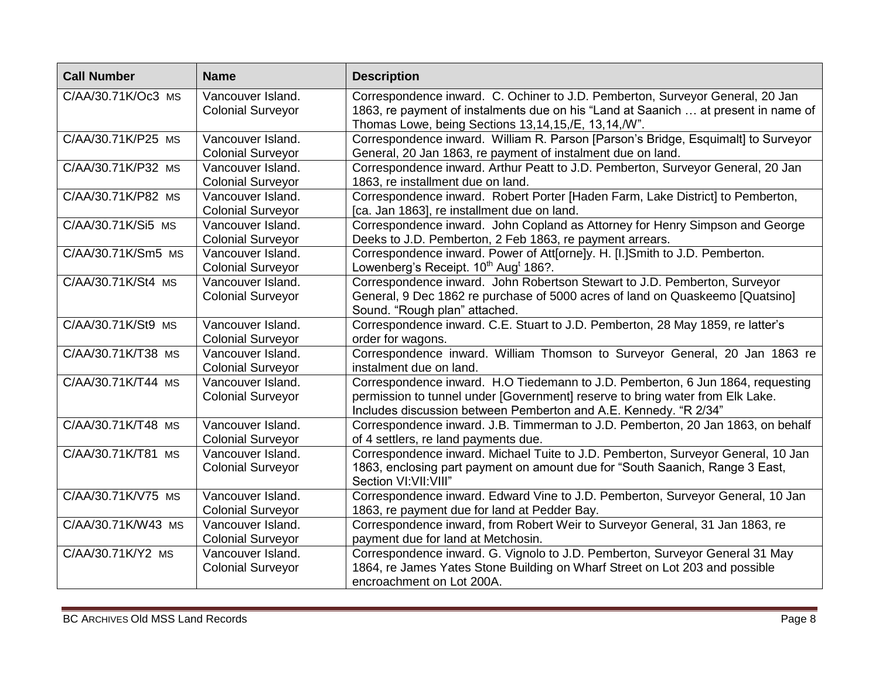| <b>Call Number</b> | <b>Name</b>                                   | <b>Description</b>                                                                                                                                                                                                                  |
|--------------------|-----------------------------------------------|-------------------------------------------------------------------------------------------------------------------------------------------------------------------------------------------------------------------------------------|
| C/AA/30.71K/Oc3 MS | Vancouver Island.<br><b>Colonial Surveyor</b> | Correspondence inward. C. Ochiner to J.D. Pemberton, Surveyor General, 20 Jan<br>1863, re payment of instalments due on his "Land at Saanich  at present in name of<br>Thomas Lowe, being Sections 13,14,15,/E, 13,14,/W".          |
| C/AA/30.71K/P25 MS | Vancouver Island.<br><b>Colonial Surveyor</b> | Correspondence inward. William R. Parson [Parson's Bridge, Esquimalt] to Surveyor<br>General, 20 Jan 1863, re payment of instalment due on land.                                                                                    |
| C/AA/30.71K/P32 MS | Vancouver Island.<br><b>Colonial Surveyor</b> | Correspondence inward. Arthur Peatt to J.D. Pemberton, Surveyor General, 20 Jan<br>1863, re installment due on land.                                                                                                                |
| C/AA/30.71K/P82 MS | Vancouver Island.<br><b>Colonial Surveyor</b> | Correspondence inward. Robert Porter [Haden Farm, Lake District] to Pemberton,<br>[ca. Jan 1863], re installment due on land.                                                                                                       |
| C/AA/30.71K/Si5 MS | Vancouver Island.<br><b>Colonial Surveyor</b> | Correspondence inward. John Copland as Attorney for Henry Simpson and George<br>Deeks to J.D. Pemberton, 2 Feb 1863, re payment arrears.                                                                                            |
| C/AA/30.71K/Sm5 MS | Vancouver Island.<br><b>Colonial Surveyor</b> | Correspondence inward. Power of Att[orne]y. H. [I.]Smith to J.D. Pemberton.<br>Lowenberg's Receipt. 10 <sup>th</sup> Aug <sup>t</sup> 186?.                                                                                         |
| C/AA/30.71K/St4 MS | Vancouver Island.<br><b>Colonial Surveyor</b> | Correspondence inward. John Robertson Stewart to J.D. Pemberton, Surveyor<br>General, 9 Dec 1862 re purchase of 5000 acres of land on Quaskeemo [Quatsino]<br>Sound. "Rough plan" attached.                                         |
| C/AA/30.71K/St9 MS | Vancouver Island.<br><b>Colonial Surveyor</b> | Correspondence inward. C.E. Stuart to J.D. Pemberton, 28 May 1859, re latter's<br>order for wagons.                                                                                                                                 |
| C/AA/30.71K/T38 MS | Vancouver Island.<br><b>Colonial Surveyor</b> | Correspondence inward. William Thomson to Surveyor General, 20 Jan 1863 re<br>instalment due on land.                                                                                                                               |
| C/AA/30.71K/T44 MS | Vancouver Island.<br><b>Colonial Surveyor</b> | Correspondence inward. H.O Tiedemann to J.D. Pemberton, 6 Jun 1864, requesting<br>permission to tunnel under [Government] reserve to bring water from Elk Lake.<br>Includes discussion between Pemberton and A.E. Kennedy. "R 2/34" |
| C/AA/30.71K/T48 MS | Vancouver Island.<br><b>Colonial Surveyor</b> | Correspondence inward. J.B. Timmerman to J.D. Pemberton, 20 Jan 1863, on behalf<br>of 4 settlers, re land payments due.                                                                                                             |
| C/AA/30.71K/T81 MS | Vancouver Island.<br><b>Colonial Surveyor</b> | Correspondence inward. Michael Tuite to J.D. Pemberton, Surveyor General, 10 Jan<br>1863, enclosing part payment on amount due for "South Saanich, Range 3 East,<br>Section VI: VII: VIII"                                          |
| C/AA/30.71K/V75 MS | Vancouver Island.<br><b>Colonial Surveyor</b> | Correspondence inward. Edward Vine to J.D. Pemberton, Surveyor General, 10 Jan<br>1863, re payment due for land at Pedder Bay.                                                                                                      |
| C/AA/30.71K/W43 MS | Vancouver Island.<br><b>Colonial Surveyor</b> | Correspondence inward, from Robert Weir to Surveyor General, 31 Jan 1863, re<br>payment due for land at Metchosin.                                                                                                                  |
| C/AA/30.71K/Y2 MS  | Vancouver Island.<br><b>Colonial Surveyor</b> | Correspondence inward. G. Vignolo to J.D. Pemberton, Surveyor General 31 May<br>1864, re James Yates Stone Building on Wharf Street on Lot 203 and possible<br>encroachment on Lot 200A.                                            |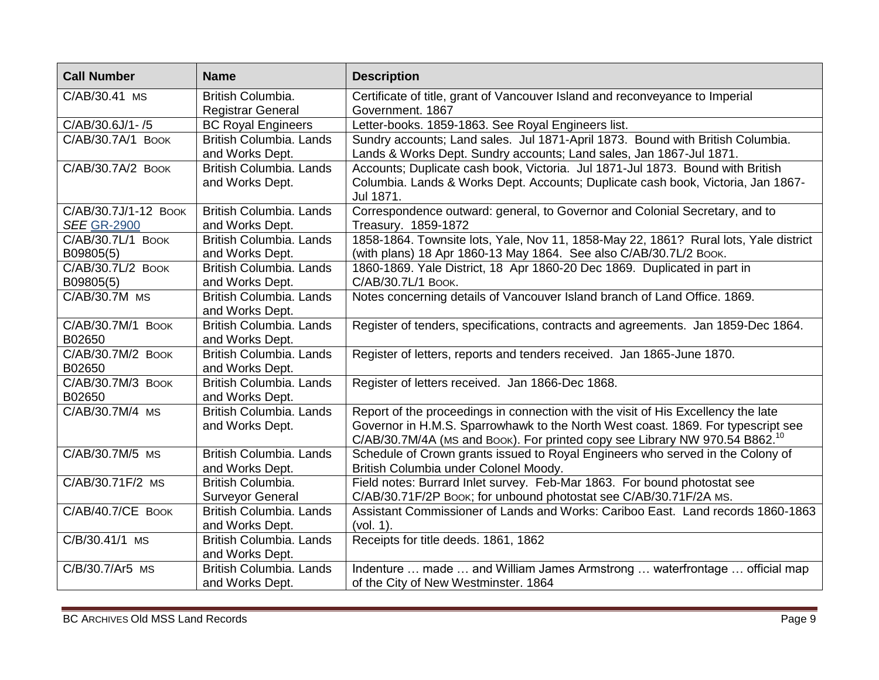| <b>Call Number</b>                         | <b>Name</b>                                       | <b>Description</b>                                                                                                                                                                                                                                               |
|--------------------------------------------|---------------------------------------------------|------------------------------------------------------------------------------------------------------------------------------------------------------------------------------------------------------------------------------------------------------------------|
| C/AB/30.41 MS                              | British Columbia.<br><b>Registrar General</b>     | Certificate of title, grant of Vancouver Island and reconveyance to Imperial<br>Government. 1867                                                                                                                                                                 |
| C/AB/30.6J/1-/5                            | <b>BC Royal Engineers</b>                         | Letter-books. 1859-1863. See Royal Engineers list.                                                                                                                                                                                                               |
| C/AB/30.7A/1 BOOK                          | British Columbia. Lands<br>and Works Dept.        | Sundry accounts; Land sales. Jul 1871-April 1873. Bound with British Columbia.<br>Lands & Works Dept. Sundry accounts; Land sales, Jan 1867-Jul 1871.                                                                                                            |
| C/AB/30.7A/2 BOOK                          | British Columbia. Lands<br>and Works Dept.        | Accounts; Duplicate cash book, Victoria. Jul 1871-Jul 1873. Bound with British<br>Columbia. Lands & Works Dept. Accounts; Duplicate cash book, Victoria, Jan 1867-<br>Jul 1871.                                                                                  |
| C/AB/30.7J/1-12 BOOK<br><b>SEE GR-2900</b> | British Columbia. Lands<br>and Works Dept.        | Correspondence outward: general, to Governor and Colonial Secretary, and to<br>Treasury. 1859-1872                                                                                                                                                               |
| C/AB/30.7L/1 BOOK<br>B09805(5)             | British Columbia. Lands<br>and Works Dept.        | 1858-1864. Townsite lots, Yale, Nov 11, 1858-May 22, 1861? Rural lots, Yale district<br>(with plans) 18 Apr 1860-13 May 1864. See also C/AB/30.7L/2 Book.                                                                                                        |
| C/AB/30.7L/2 BOOK<br>B09805(5)             | British Columbia. Lands<br>and Works Dept.        | 1860-1869. Yale District, 18 Apr 1860-20 Dec 1869. Duplicated in part in<br>C/AB/30.7L/1 BOOK.                                                                                                                                                                   |
| C/AB/30.7M MS                              | British Columbia. Lands<br>and Works Dept.        | Notes concerning details of Vancouver Island branch of Land Office. 1869.                                                                                                                                                                                        |
| С/АВ/30.7М/1 Воок<br>B02650                | British Columbia. Lands<br>and Works Dept.        | Register of tenders, specifications, contracts and agreements. Jan 1859-Dec 1864.                                                                                                                                                                                |
| C/AB/30.7M/2 BOOK<br>B02650                | British Columbia. Lands<br>and Works Dept.        | Register of letters, reports and tenders received. Jan 1865-June 1870.                                                                                                                                                                                           |
| C/AB/30.7M/3 BOOK<br>B02650                | <b>British Columbia, Lands</b><br>and Works Dept. | Register of letters received. Jan 1866-Dec 1868.                                                                                                                                                                                                                 |
| C/AB/30.7M/4 MS                            | British Columbia. Lands<br>and Works Dept.        | Report of the proceedings in connection with the visit of His Excellency the late<br>Governor in H.M.S. Sparrowhawk to the North West coast. 1869. For typescript see<br>C/AB/30.7M/4A (MS and Book). For printed copy see Library NW 970.54 B862. <sup>10</sup> |
| C/AB/30.7M/5 MS                            | British Columbia. Lands<br>and Works Dept.        | Schedule of Crown grants issued to Royal Engineers who served in the Colony of<br>British Columbia under Colonel Moody.                                                                                                                                          |
| C/AB/30.71F/2 MS                           | British Columbia.<br><b>Surveyor General</b>      | Field notes: Burrard Inlet survey. Feb-Mar 1863. For bound photostat see<br>C/AB/30.71F/2P Book; for unbound photostat see C/AB/30.71F/2A MS.                                                                                                                    |
| C/AB/40.7/CE BOOK                          | British Columbia. Lands<br>and Works Dept.        | Assistant Commissioner of Lands and Works: Cariboo East. Land records 1860-1863<br>(vol. 1).                                                                                                                                                                     |
| C/B/30.41/1 MS                             | British Columbia. Lands<br>and Works Dept.        | Receipts for title deeds. 1861, 1862                                                                                                                                                                                                                             |
| C/B/30.7/Ar5 MS                            | British Columbia. Lands<br>and Works Dept.        | Indenture  made  and William James Armstrong  waterfrontage  official map<br>of the City of New Westminster. 1864                                                                                                                                                |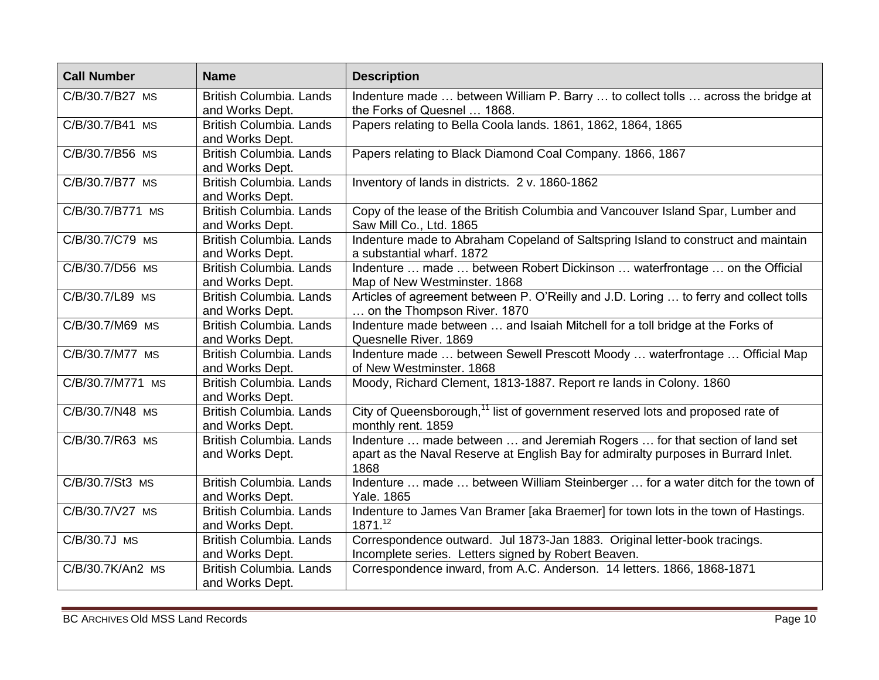| <b>Call Number</b> | <b>Name</b>                                       | <b>Description</b>                                                                                                                                                       |
|--------------------|---------------------------------------------------|--------------------------------------------------------------------------------------------------------------------------------------------------------------------------|
| C/B/30.7/B27 MS    | <b>British Columbia, Lands</b><br>and Works Dept. | Indenture made  between William P. Barry  to collect tolls  across the bridge at<br>the Forks of Quesnel  1868.                                                          |
| C/B/30.7/B41 MS    | British Columbia. Lands<br>and Works Dept.        | Papers relating to Bella Coola lands. 1861, 1862, 1864, 1865                                                                                                             |
| C/B/30.7/B56 MS    | British Columbia. Lands<br>and Works Dept.        | Papers relating to Black Diamond Coal Company. 1866, 1867                                                                                                                |
| C/B/30.7/B77 MS    | British Columbia. Lands<br>and Works Dept.        | Inventory of lands in districts. 2 v. 1860-1862                                                                                                                          |
| C/B/30.7/B771 MS   | <b>British Columbia, Lands</b><br>and Works Dept. | Copy of the lease of the British Columbia and Vancouver Island Spar, Lumber and<br>Saw Mill Co., Ltd. 1865                                                               |
| C/B/30.7/C79 MS    | <b>British Columbia, Lands</b><br>and Works Dept. | Indenture made to Abraham Copeland of Saltspring Island to construct and maintain<br>a substantial wharf. 1872                                                           |
| C/B/30.7/D56 MS    | <b>British Columbia. Lands</b><br>and Works Dept. | Indenture  made  between Robert Dickinson  waterfrontage  on the Official<br>Map of New Westminster. 1868                                                                |
| C/B/30.7/L89 MS    | <b>British Columbia. Lands</b><br>and Works Dept. | Articles of agreement between P. O'Reilly and J.D. Loring  to ferry and collect tolls<br>on the Thompson River. 1870                                                     |
| C/B/30.7/M69 MS    | British Columbia. Lands<br>and Works Dept.        | Indenture made between  and Isaiah Mitchell for a toll bridge at the Forks of<br>Quesnelle River. 1869                                                                   |
| C/B/30.7/M77 MS    | <b>British Columbia, Lands</b><br>and Works Dept. | Indenture made  between Sewell Prescott Moody  waterfrontage  Official Map<br>of New Westminster. 1868                                                                   |
| C/B/30.7/M771 MS   | British Columbia, Lands<br>and Works Dept.        | Moody, Richard Clement, 1813-1887. Report re lands in Colony. 1860                                                                                                       |
| C/B/30.7/N48 MS    | <b>British Columbia. Lands</b><br>and Works Dept. | City of Queensborough, <sup>11</sup> list of government reserved lots and proposed rate of<br>monthly rent. 1859                                                         |
| C/B/30.7/R63 MS    | <b>British Columbia. Lands</b><br>and Works Dept. | Indenture  made between  and Jeremiah Rogers  for that section of land set<br>apart as the Naval Reserve at English Bay for admiralty purposes in Burrard Inlet.<br>1868 |
| C/B/30.7/St3 MS    | <b>British Columbia. Lands</b><br>and Works Dept. | Indenture  made  between William Steinberger  for a water ditch for the town of<br>Yale. 1865                                                                            |
| C/B/30.7/V27 MS    | <b>British Columbia. Lands</b><br>and Works Dept. | Indenture to James Van Bramer [aka Braemer] for town lots in the town of Hastings.<br>1871.12                                                                            |
| C/B/30.7J MS       | <b>British Columbia. Lands</b><br>and Works Dept. | Correspondence outward. Jul 1873-Jan 1883. Original letter-book tracings.<br>Incomplete series. Letters signed by Robert Beaven.                                         |
| C/B/30.7K/An2 MS   | <b>British Columbia. Lands</b><br>and Works Dept. | Correspondence inward, from A.C. Anderson. 14 letters. 1866, 1868-1871                                                                                                   |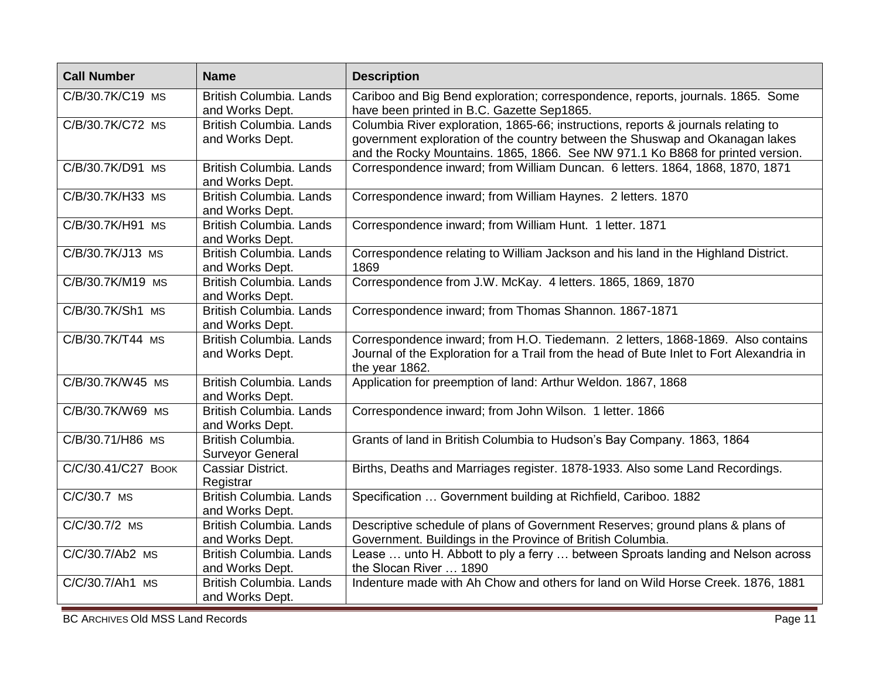| <b>Call Number</b> | <b>Name</b>                                       | <b>Description</b>                                                                                                                                                                                                                                  |
|--------------------|---------------------------------------------------|-----------------------------------------------------------------------------------------------------------------------------------------------------------------------------------------------------------------------------------------------------|
| C/B/30.7K/C19 MS   | <b>British Columbia. Lands</b><br>and Works Dept. | Cariboo and Big Bend exploration; correspondence, reports, journals. 1865. Some<br>have been printed in B.C. Gazette Sep1865.                                                                                                                       |
| C/B/30.7K/C72 MS   | <b>British Columbia, Lands</b><br>and Works Dept. | Columbia River exploration, 1865-66; instructions, reports & journals relating to<br>government exploration of the country between the Shuswap and Okanagan lakes<br>and the Rocky Mountains. 1865, 1866. See NW 971.1 Ko B868 for printed version. |
| C/B/30.7K/D91 MS   | <b>British Columbia. Lands</b><br>and Works Dept. | Correspondence inward; from William Duncan. 6 letters. 1864, 1868, 1870, 1871                                                                                                                                                                       |
| C/B/30.7K/H33 MS   | <b>British Columbia. Lands</b><br>and Works Dept. | Correspondence inward; from William Haynes. 2 letters. 1870                                                                                                                                                                                         |
| C/B/30.7K/H91 MS   | <b>British Columbia, Lands</b><br>and Works Dept. | Correspondence inward; from William Hunt. 1 letter. 1871                                                                                                                                                                                            |
| C/B/30.7K/J13 MS   | <b>British Columbia. Lands</b><br>and Works Dept. | Correspondence relating to William Jackson and his land in the Highland District.<br>1869                                                                                                                                                           |
| C/B/30.7K/M19 MS   | <b>British Columbia, Lands</b><br>and Works Dept. | Correspondence from J.W. McKay. 4 letters. 1865, 1869, 1870                                                                                                                                                                                         |
| C/B/30.7K/Sh1 MS   | <b>British Columbia, Lands</b><br>and Works Dept. | Correspondence inward; from Thomas Shannon. 1867-1871                                                                                                                                                                                               |
| C/B/30.7K/T44 MS   | <b>British Columbia. Lands</b><br>and Works Dept. | Correspondence inward; from H.O. Tiedemann. 2 letters, 1868-1869. Also contains<br>Journal of the Exploration for a Trail from the head of Bute Inlet to Fort Alexandria in<br>the year 1862.                                                       |
| C/B/30.7K/W45 MS   | British Columbia. Lands<br>and Works Dept.        | Application for preemption of land: Arthur Weldon. 1867, 1868                                                                                                                                                                                       |
| C/B/30.7K/W69 MS   | <b>British Columbia, Lands</b><br>and Works Dept. | Correspondence inward; from John Wilson. 1 letter. 1866                                                                                                                                                                                             |
| C/B/30.71/H86 MS   | British Columbia.<br><b>Surveyor General</b>      | Grants of land in British Columbia to Hudson's Bay Company. 1863, 1864                                                                                                                                                                              |
| C/C/30.41/C27 BOOK | Cassiar District.<br>Registrar                    | Births, Deaths and Marriages register. 1878-1933. Also some Land Recordings.                                                                                                                                                                        |
| C/C/30.7 MS        | <b>British Columbia. Lands</b><br>and Works Dept. | Specification  Government building at Richfield, Cariboo. 1882                                                                                                                                                                                      |
| C/C/30.7/2 MS      | British Columbia. Lands<br>and Works Dept.        | Descriptive schedule of plans of Government Reserves; ground plans & plans of<br>Government. Buildings in the Province of British Columbia.                                                                                                         |
| C/C/30.7/Ab2 MS    | <b>British Columbia. Lands</b><br>and Works Dept. | Lease  unto H. Abbott to ply a ferry  between Sproats landing and Nelson across<br>the Slocan River  1890                                                                                                                                           |
| C/C/30.7/Ah1 MS    | <b>British Columbia, Lands</b><br>and Works Dept. | Indenture made with Ah Chow and others for land on Wild Horse Creek. 1876, 1881                                                                                                                                                                     |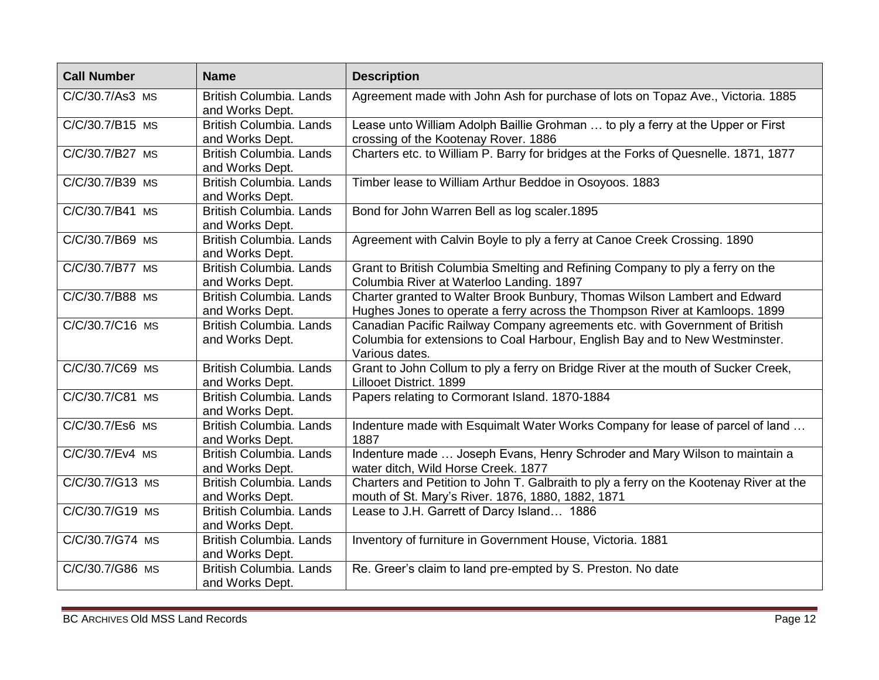| <b>Call Number</b> | <b>Name</b>                                       | <b>Description</b>                                                                                                                                                            |
|--------------------|---------------------------------------------------|-------------------------------------------------------------------------------------------------------------------------------------------------------------------------------|
| C/C/30.7/As3 MS    | <b>British Columbia, Lands</b><br>and Works Dept. | Agreement made with John Ash for purchase of lots on Topaz Ave., Victoria. 1885                                                                                               |
| C/C/30.7/B15 MS    | British Columbia. Lands<br>and Works Dept.        | Lease unto William Adolph Baillie Grohman  to ply a ferry at the Upper or First<br>crossing of the Kootenay Rover. 1886                                                       |
| C/C/30.7/B27 MS    | British Columbia. Lands<br>and Works Dept.        | Charters etc. to William P. Barry for bridges at the Forks of Quesnelle. 1871, 1877                                                                                           |
| C/C/30.7/B39 MS    | <b>British Columbia. Lands</b><br>and Works Dept. | Timber lease to William Arthur Beddoe in Osoyoos. 1883                                                                                                                        |
| C/C/30.7/B41 MS    | <b>British Columbia. Lands</b><br>and Works Dept. | Bond for John Warren Bell as log scaler.1895                                                                                                                                  |
| C/C/30.7/B69 MS    | <b>British Columbia. Lands</b><br>and Works Dept. | Agreement with Calvin Boyle to ply a ferry at Canoe Creek Crossing. 1890                                                                                                      |
| C/C/30.7/B77 MS    | <b>British Columbia. Lands</b><br>and Works Dept. | Grant to British Columbia Smelting and Refining Company to ply a ferry on the<br>Columbia River at Waterloo Landing. 1897                                                     |
| C/C/30.7/B88 MS    | <b>British Columbia. Lands</b><br>and Works Dept. | Charter granted to Walter Brook Bunbury, Thomas Wilson Lambert and Edward<br>Hughes Jones to operate a ferry across the Thompson River at Kamloops. 1899                      |
| C/C/30.7/C16 MS    | <b>British Columbia, Lands</b><br>and Works Dept. | Canadian Pacific Railway Company agreements etc. with Government of British<br>Columbia for extensions to Coal Harbour, English Bay and to New Westminster.<br>Various dates. |
| C/C/30.7/C69 MS    | <b>British Columbia. Lands</b><br>and Works Dept. | Grant to John Collum to ply a ferry on Bridge River at the mouth of Sucker Creek,<br>Lillooet District. 1899                                                                  |
| C/C/30.7/C81 MS    | <b>British Columbia. Lands</b><br>and Works Dept. | Papers relating to Cormorant Island. 1870-1884                                                                                                                                |
| C/C/30.7/Es6 MS    | British Columbia. Lands<br>and Works Dept.        | Indenture made with Esquimalt Water Works Company for lease of parcel of land<br>1887                                                                                         |
| C/C/30.7/Ev4 MS    | <b>British Columbia. Lands</b><br>and Works Dept. | Indenture made  Joseph Evans, Henry Schroder and Mary Wilson to maintain a<br>water ditch, Wild Horse Creek. 1877                                                             |
| C/C/30.7/G13 MS    | <b>British Columbia. Lands</b><br>and Works Dept. | Charters and Petition to John T. Galbraith to ply a ferry on the Kootenay River at the<br>mouth of St. Mary's River. 1876, 1880, 1882, 1871                                   |
| C/C/30.7/G19 MS    | <b>British Columbia, Lands</b><br>and Works Dept. | Lease to J.H. Garrett of Darcy Island 1886                                                                                                                                    |
| C/C/30.7/G74 MS    | <b>British Columbia, Lands</b><br>and Works Dept. | Inventory of furniture in Government House, Victoria. 1881                                                                                                                    |
| C/C/30.7/G86 MS    | <b>British Columbia. Lands</b><br>and Works Dept. | Re. Greer's claim to land pre-empted by S. Preston. No date                                                                                                                   |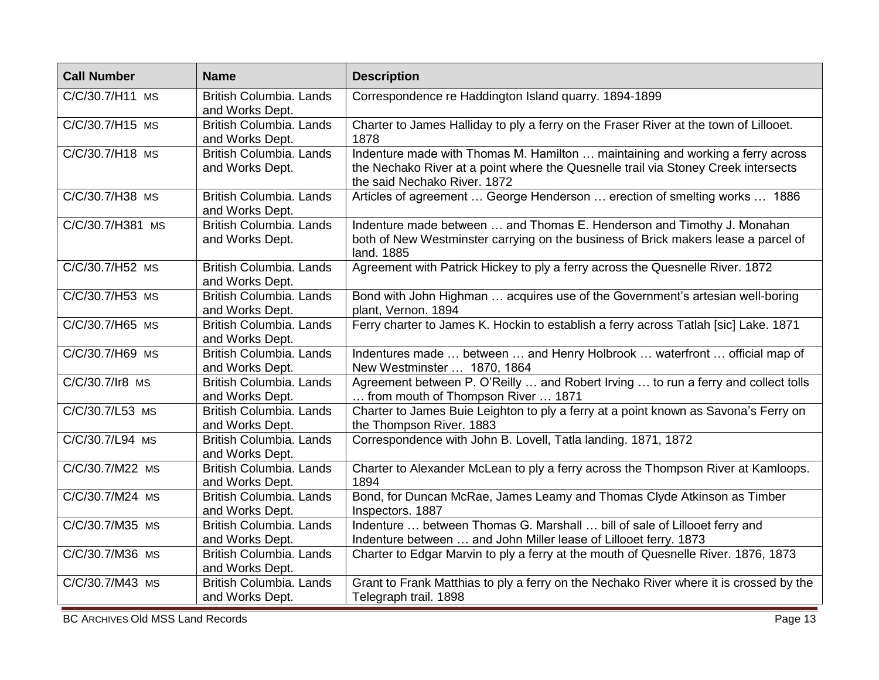| <b>Call Number</b> | <b>Name</b>                                       | <b>Description</b>                                                                                                                                                                                   |
|--------------------|---------------------------------------------------|------------------------------------------------------------------------------------------------------------------------------------------------------------------------------------------------------|
| C/C/30.7/H11 MS    | <b>British Columbia, Lands</b><br>and Works Dept. | Correspondence re Haddington Island quarry. 1894-1899                                                                                                                                                |
| C/C/30.7/H15 MS    | British Columbia. Lands<br>and Works Dept.        | Charter to James Halliday to ply a ferry on the Fraser River at the town of Lillooet.<br>1878                                                                                                        |
| C/C/30.7/H18 MS    | British Columbia. Lands<br>and Works Dept.        | Indenture made with Thomas M. Hamilton  maintaining and working a ferry across<br>the Nechako River at a point where the Quesnelle trail via Stoney Creek intersects<br>the said Nechako River. 1872 |
| C/C/30.7/H38 MS    | <b>British Columbia. Lands</b><br>and Works Dept. | Articles of agreement  George Henderson  erection of smelting works  1886                                                                                                                            |
| C/C/30.7/H381 MS   | <b>British Columbia. Lands</b><br>and Works Dept. | Indenture made between  and Thomas E. Henderson and Timothy J. Monahan<br>both of New Westminster carrying on the business of Brick makers lease a parcel of<br>land. 1885                           |
| C/C/30.7/H52 MS    | <b>British Columbia, Lands</b><br>and Works Dept. | Agreement with Patrick Hickey to ply a ferry across the Quesnelle River. 1872                                                                                                                        |
| C/C/30.7/H53 MS    | <b>British Columbia, Lands</b><br>and Works Dept. | Bond with John Highman  acquires use of the Government's artesian well-boring<br>plant, Vernon. 1894                                                                                                 |
| C/C/30.7/H65 MS    | <b>British Columbia. Lands</b><br>and Works Dept. | Ferry charter to James K. Hockin to establish a ferry across Tatlah [sic] Lake. 1871                                                                                                                 |
| C/C/30.7/H69 MS    | <b>British Columbia. Lands</b><br>and Works Dept. | Indentures made  between  and Henry Holbrook  waterfront  official map of<br>New Westminster  1870, 1864                                                                                             |
| C/C/30.7/Ir8 MS    | <b>British Columbia, Lands</b><br>and Works Dept. | Agreement between P. O'Reilly  and Robert Irving  to run a ferry and collect tolls<br>from mouth of Thompson River  1871                                                                             |
| C/C/30.7/L53 MS    | British Columbia. Lands<br>and Works Dept.        | Charter to James Buie Leighton to ply a ferry at a point known as Savona's Ferry on<br>the Thompson River. 1883                                                                                      |
| C/C/30.7/L94 MS    | British Columbia. Lands<br>and Works Dept.        | Correspondence with John B. Lovell, Tatla landing. 1871, 1872                                                                                                                                        |
| C/C/30.7/M22 MS    | British Columbia. Lands<br>and Works Dept.        | Charter to Alexander McLean to ply a ferry across the Thompson River at Kamloops.<br>1894                                                                                                            |
| C/C/30.7/M24 MS    | <b>British Columbia. Lands</b><br>and Works Dept. | Bond, for Duncan McRae, James Leamy and Thomas Clyde Atkinson as Timber<br>Inspectors. 1887                                                                                                          |
| C/C/30.7/M35 MS    | <b>British Columbia. Lands</b><br>and Works Dept. | Indenture  between Thomas G. Marshall  bill of sale of Lillooet ferry and<br>Indenture between  and John Miller lease of Lillooet ferry. 1873                                                        |
| C/C/30.7/M36 MS    | <b>British Columbia, Lands</b><br>and Works Dept. | Charter to Edgar Marvin to ply a ferry at the mouth of Quesnelle River. 1876, 1873                                                                                                                   |
| C/C/30.7/M43 MS    | <b>British Columbia, Lands</b><br>and Works Dept. | Grant to Frank Matthias to ply a ferry on the Nechako River where it is crossed by the<br>Telegraph trail. 1898                                                                                      |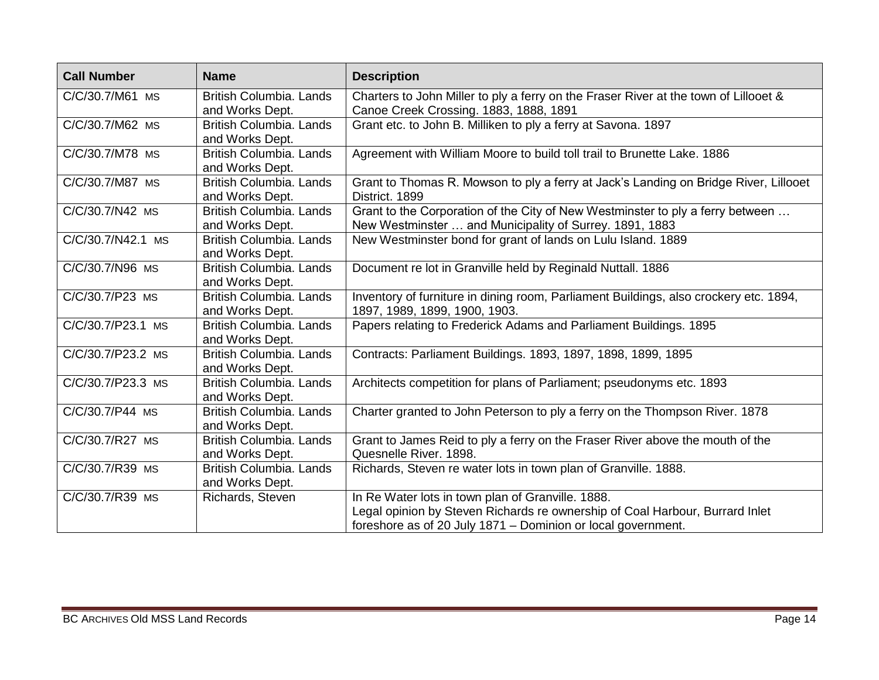| <b>Call Number</b> | <b>Name</b>                                       | <b>Description</b>                                                                                                                                                                                |
|--------------------|---------------------------------------------------|---------------------------------------------------------------------------------------------------------------------------------------------------------------------------------------------------|
| C/C/30.7/M61 MS    | British Columbia. Lands<br>and Works Dept.        | Charters to John Miller to ply a ferry on the Fraser River at the town of Lillooet &<br>Canoe Creek Crossing. 1883, 1888, 1891                                                                    |
| C/C/30.7/M62 MS    | <b>British Columbia, Lands</b><br>and Works Dept. | Grant etc. to John B. Milliken to ply a ferry at Savona. 1897                                                                                                                                     |
| C/C/30.7/M78 MS    | British Columbia. Lands<br>and Works Dept.        | Agreement with William Moore to build toll trail to Brunette Lake. 1886                                                                                                                           |
| C/C/30.7/M87 MS    | <b>British Columbia. Lands</b><br>and Works Dept. | Grant to Thomas R. Mowson to ply a ferry at Jack's Landing on Bridge River, Lillooet<br>District. 1899                                                                                            |
| C/C/30.7/N42 MS    | British Columbia. Lands<br>and Works Dept.        | Grant to the Corporation of the City of New Westminster to ply a ferry between<br>New Westminster  and Municipality of Surrey. 1891, 1883                                                         |
| C/C/30.7/N42.1 MS  | <b>British Columbia, Lands</b><br>and Works Dept. | New Westminster bond for grant of lands on Lulu Island. 1889                                                                                                                                      |
| C/C/30.7/N96 MS    | British Columbia. Lands<br>and Works Dept.        | Document re lot in Granville held by Reginald Nuttall. 1886                                                                                                                                       |
| C/C/30.7/P23 MS    | <b>British Columbia. Lands</b><br>and Works Dept. | Inventory of furniture in dining room, Parliament Buildings, also crockery etc. 1894,<br>1897, 1989, 1899, 1900, 1903.                                                                            |
| C/C/30.7/P23.1 MS  | British Columbia. Lands<br>and Works Dept.        | Papers relating to Frederick Adams and Parliament Buildings. 1895                                                                                                                                 |
| C/C/30.7/P23.2 MS  | British Columbia. Lands<br>and Works Dept.        | Contracts: Parliament Buildings. 1893, 1897, 1898, 1899, 1895                                                                                                                                     |
| C/C/30.7/P23.3 MS  | <b>British Columbia, Lands</b><br>and Works Dept. | Architects competition for plans of Parliament; pseudonyms etc. 1893                                                                                                                              |
| C/C/30.7/P44 MS    | <b>British Columbia, Lands</b><br>and Works Dept. | Charter granted to John Peterson to ply a ferry on the Thompson River. 1878                                                                                                                       |
| C/C/30.7/R27 MS    | British Columbia. Lands<br>and Works Dept.        | Grant to James Reid to ply a ferry on the Fraser River above the mouth of the<br>Quesnelle River. 1898.                                                                                           |
| C/C/30.7/R39 MS    | British Columbia. Lands<br>and Works Dept.        | Richards, Steven re water lots in town plan of Granville. 1888.                                                                                                                                   |
| C/C/30.7/R39 MS    | Richards, Steven                                  | In Re Water lots in town plan of Granville. 1888.<br>Legal opinion by Steven Richards re ownership of Coal Harbour, Burrard Inlet<br>foreshore as of 20 July 1871 – Dominion or local government. |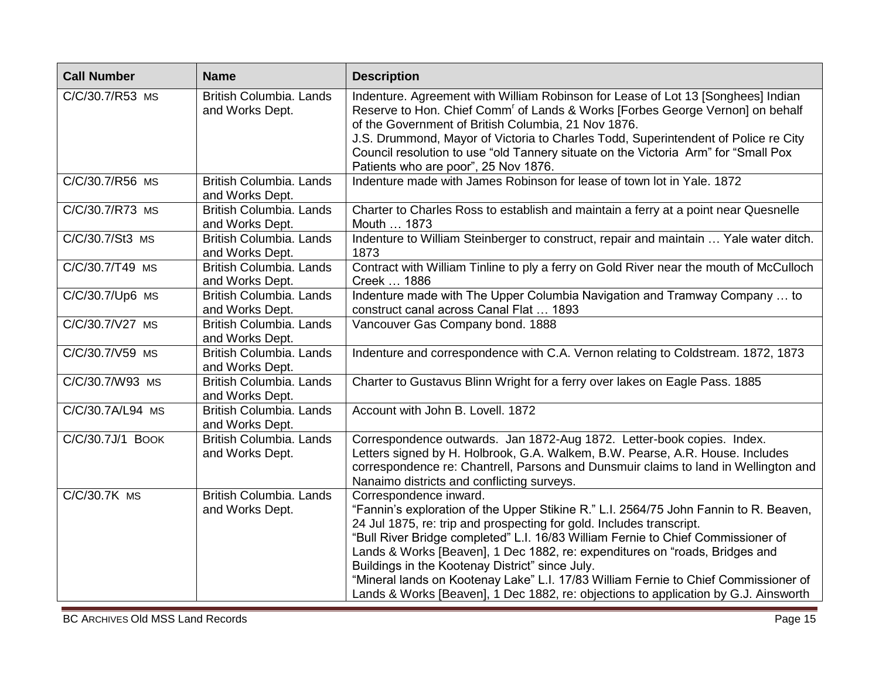| <b>Call Number</b> | <b>Name</b>                                       | <b>Description</b>                                                                                                                                                                                                                                                                                                                                                                                                                                                                                                                                                                          |
|--------------------|---------------------------------------------------|---------------------------------------------------------------------------------------------------------------------------------------------------------------------------------------------------------------------------------------------------------------------------------------------------------------------------------------------------------------------------------------------------------------------------------------------------------------------------------------------------------------------------------------------------------------------------------------------|
| C/C/30.7/R53 MS    | British Columbia. Lands<br>and Works Dept.        | Indenture. Agreement with William Robinson for Lease of Lot 13 [Songhees] Indian<br>Reserve to Hon. Chief Comm' of Lands & Works [Forbes George Vernon] on behalf<br>of the Government of British Columbia, 21 Nov 1876.<br>J.S. Drummond, Mayor of Victoria to Charles Todd, Superintendent of Police re City<br>Council resolution to use "old Tannery situate on the Victoria Arm" for "Small Pox<br>Patients who are poor", 25 Nov 1876.                                                                                                                                                |
| C/C/30.7/R56 MS    | British Columbia. Lands<br>and Works Dept.        | Indenture made with James Robinson for lease of town lot in Yale. 1872                                                                                                                                                                                                                                                                                                                                                                                                                                                                                                                      |
| C/C/30.7/R73 MS    | British Columbia. Lands<br>and Works Dept.        | Charter to Charles Ross to establish and maintain a ferry at a point near Quesnelle<br>Mouth  1873                                                                                                                                                                                                                                                                                                                                                                                                                                                                                          |
| C/C/30.7/St3 MS    | British Columbia. Lands<br>and Works Dept.        | Indenture to William Steinberger to construct, repair and maintain  Yale water ditch.<br>1873                                                                                                                                                                                                                                                                                                                                                                                                                                                                                               |
| C/C/30.7/T49 MS    | <b>British Columbia, Lands</b><br>and Works Dept. | Contract with William Tinline to ply a ferry on Gold River near the mouth of McCulloch<br>Creek  1886                                                                                                                                                                                                                                                                                                                                                                                                                                                                                       |
| C/C/30.7/Up6 MS    | <b>British Columbia, Lands</b><br>and Works Dept. | Indenture made with The Upper Columbia Navigation and Tramway Company  to<br>construct canal across Canal Flat  1893                                                                                                                                                                                                                                                                                                                                                                                                                                                                        |
| C/C/30.7/V27 MS    | <b>British Columbia, Lands</b><br>and Works Dept. | Vancouver Gas Company bond. 1888                                                                                                                                                                                                                                                                                                                                                                                                                                                                                                                                                            |
| C/C/30.7/V59 MS    | British Columbia. Lands<br>and Works Dept.        | Indenture and correspondence with C.A. Vernon relating to Coldstream. 1872, 1873                                                                                                                                                                                                                                                                                                                                                                                                                                                                                                            |
| C/C/30.7/W93 MS    | British Columbia. Lands<br>and Works Dept.        | Charter to Gustavus Blinn Wright for a ferry over lakes on Eagle Pass. 1885                                                                                                                                                                                                                                                                                                                                                                                                                                                                                                                 |
| C/C/30.7A/L94 MS   | British Columbia. Lands<br>and Works Dept.        | Account with John B. Lovell. 1872                                                                                                                                                                                                                                                                                                                                                                                                                                                                                                                                                           |
| C/C/30.7J/1 BOOK   | British Columbia. Lands<br>and Works Dept.        | Correspondence outwards. Jan 1872-Aug 1872. Letter-book copies. Index.<br>Letters signed by H. Holbrook, G.A. Walkem, B.W. Pearse, A.R. House. Includes<br>correspondence re: Chantrell, Parsons and Dunsmuir claims to land in Wellington and<br>Nanaimo districts and conflicting surveys.                                                                                                                                                                                                                                                                                                |
| C/C/30.7K MS       | <b>British Columbia, Lands</b><br>and Works Dept. | Correspondence inward.<br>"Fannin's exploration of the Upper Stikine R." L.I. 2564/75 John Fannin to R. Beaven,<br>24 Jul 1875, re: trip and prospecting for gold. Includes transcript.<br>"Bull River Bridge completed" L.I. 16/83 William Fernie to Chief Commissioner of<br>Lands & Works [Beaven], 1 Dec 1882, re: expenditures on "roads, Bridges and<br>Buildings in the Kootenay District" since July.<br>"Mineral lands on Kootenay Lake" L.I. 17/83 William Fernie to Chief Commissioner of<br>Lands & Works [Beaven], 1 Dec 1882, re: objections to application by G.J. Ainsworth |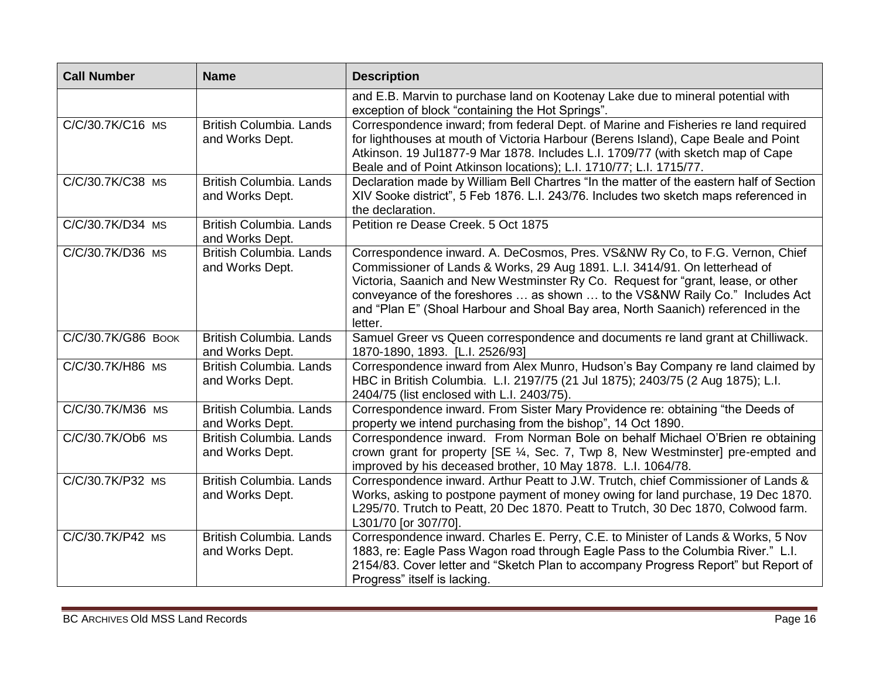| <b>Call Number</b> | <b>Name</b>                                       | <b>Description</b>                                                                                                                                                                                                                                                                                                                                                                                                            |
|--------------------|---------------------------------------------------|-------------------------------------------------------------------------------------------------------------------------------------------------------------------------------------------------------------------------------------------------------------------------------------------------------------------------------------------------------------------------------------------------------------------------------|
|                    |                                                   | and E.B. Marvin to purchase land on Kootenay Lake due to mineral potential with<br>exception of block "containing the Hot Springs".                                                                                                                                                                                                                                                                                           |
| C/C/30.7K/C16 MS   | British Columbia. Lands<br>and Works Dept.        | Correspondence inward; from federal Dept. of Marine and Fisheries re land required<br>for lighthouses at mouth of Victoria Harbour (Berens Island), Cape Beale and Point<br>Atkinson. 19 Jul1877-9 Mar 1878. Includes L.I. 1709/77 (with sketch map of Cape<br>Beale and of Point Atkinson locations); L.I. 1710/77; L.I. 1715/77.                                                                                            |
| C/C/30.7K/C38 MS   | <b>British Columbia, Lands</b><br>and Works Dept. | Declaration made by William Bell Chartres "In the matter of the eastern half of Section<br>XIV Sooke district", 5 Feb 1876. L.I. 243/76. Includes two sketch maps referenced in<br>the declaration.                                                                                                                                                                                                                           |
| C/C/30.7K/D34 MS   | <b>British Columbia, Lands</b><br>and Works Dept. | Petition re Dease Creek. 5 Oct 1875                                                                                                                                                                                                                                                                                                                                                                                           |
| C/C/30.7K/D36 MS   | British Columbia. Lands<br>and Works Dept.        | Correspondence inward. A. DeCosmos, Pres. VS&NW Ry Co, to F.G. Vernon, Chief<br>Commissioner of Lands & Works, 29 Aug 1891. L.I. 3414/91. On letterhead of<br>Victoria, Saanich and New Westminster Ry Co. Request for "grant, lease, or other<br>conveyance of the foreshores  as shown  to the VS&NW Raily Co." Includes Act<br>and "Plan E" (Shoal Harbour and Shoal Bay area, North Saanich) referenced in the<br>letter. |
| C/C/30.7K/G86 BOOK | British Columbia. Lands<br>and Works Dept.        | Samuel Greer vs Queen correspondence and documents re land grant at Chilliwack.<br>1870-1890, 1893. [L.I. 2526/93]                                                                                                                                                                                                                                                                                                            |
| C/C/30.7K/H86 MS   | British Columbia. Lands<br>and Works Dept.        | Correspondence inward from Alex Munro, Hudson's Bay Company re land claimed by<br>HBC in British Columbia. L.I. 2197/75 (21 Jul 1875); 2403/75 (2 Aug 1875); L.I.<br>2404/75 (list enclosed with L.I. 2403/75).                                                                                                                                                                                                               |
| C/C/30.7K/M36 MS   | British Columbia. Lands<br>and Works Dept.        | Correspondence inward. From Sister Mary Providence re: obtaining "the Deeds of<br>property we intend purchasing from the bishop", 14 Oct 1890.                                                                                                                                                                                                                                                                                |
| C/C/30.7K/Ob6 MS   | British Columbia. Lands<br>and Works Dept.        | Correspondence inward. From Norman Bole on behalf Michael O'Brien re obtaining<br>crown grant for property [SE ¼, Sec. 7, Twp 8, New Westminster] pre-empted and<br>improved by his deceased brother, 10 May 1878. L.I. 1064/78.                                                                                                                                                                                              |
| C/C/30.7K/P32 MS   | British Columbia. Lands<br>and Works Dept.        | Correspondence inward. Arthur Peatt to J.W. Trutch, chief Commissioner of Lands &<br>Works, asking to postpone payment of money owing for land purchase, 19 Dec 1870.<br>L295/70. Trutch to Peatt, 20 Dec 1870. Peatt to Trutch, 30 Dec 1870, Colwood farm.<br>L301/70 [or 307/70].                                                                                                                                           |
| C/C/30.7K/P42 MS   | <b>British Columbia, Lands</b><br>and Works Dept. | Correspondence inward. Charles E. Perry, C.E. to Minister of Lands & Works, 5 Nov<br>1883, re: Eagle Pass Wagon road through Eagle Pass to the Columbia River." L.I.<br>2154/83. Cover letter and "Sketch Plan to accompany Progress Report" but Report of<br>Progress" itself is lacking.                                                                                                                                    |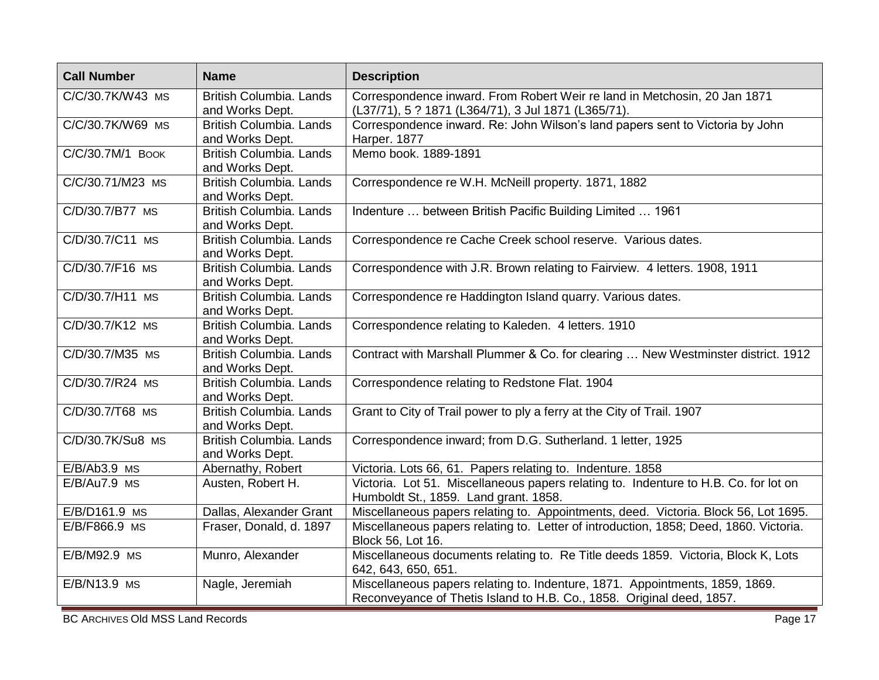| <b>Call Number</b> | <b>Name</b>                                       | <b>Description</b>                                                                                                                                    |
|--------------------|---------------------------------------------------|-------------------------------------------------------------------------------------------------------------------------------------------------------|
| C/C/30.7K/W43 MS   | <b>British Columbia, Lands</b><br>and Works Dept. | Correspondence inward. From Robert Weir re land in Metchosin, 20 Jan 1871<br>(L37/71), 5 ? 1871 (L364/71), 3 Jul 1871 (L365/71).                      |
| C/C/30.7K/W69 MS   | British Columbia. Lands<br>and Works Dept.        | Correspondence inward. Re: John Wilson's land papers sent to Victoria by John<br>Harper. 1877                                                         |
| C/C/30.7M/1 BOOK   | <b>British Columbia, Lands</b><br>and Works Dept. | Memo book. 1889-1891                                                                                                                                  |
| C/C/30.71/M23 MS   | British Columbia. Lands<br>and Works Dept.        | Correspondence re W.H. McNeill property. 1871, 1882                                                                                                   |
| C/D/30.7/B77 MS    | British Columbia. Lands<br>and Works Dept.        | Indenture  between British Pacific Building Limited  1961                                                                                             |
| C/D/30.7/C11 MS    | British Columbia. Lands<br>and Works Dept.        | Correspondence re Cache Creek school reserve. Various dates.                                                                                          |
| C/D/30.7/F16 MS    | British Columbia. Lands<br>and Works Dept.        | Correspondence with J.R. Brown relating to Fairview. 4 letters. 1908, 1911                                                                            |
| C/D/30.7/H11 MS    | <b>British Columbia, Lands</b><br>and Works Dept. | Correspondence re Haddington Island quarry. Various dates.                                                                                            |
| C/D/30.7/K12 MS    | British Columbia. Lands<br>and Works Dept.        | Correspondence relating to Kaleden. 4 letters. 1910                                                                                                   |
| C/D/30.7/M35 MS    | British Columbia. Lands<br>and Works Dept.        | Contract with Marshall Plummer & Co. for clearing  New Westminster district. 1912                                                                     |
| C/D/30.7/R24 MS    | British Columbia. Lands<br>and Works Dept.        | Correspondence relating to Redstone Flat. 1904                                                                                                        |
| C/D/30.7/T68 MS    | British Columbia. Lands<br>and Works Dept.        | Grant to City of Trail power to ply a ferry at the City of Trail. 1907                                                                                |
| C/D/30.7K/Su8 MS   | British Columbia. Lands<br>and Works Dept.        | Correspondence inward; from D.G. Sutherland. 1 letter, 1925                                                                                           |
| $E/B/Ab3.9$ MS     | Abernathy, Robert                                 | Victoria. Lots 66, 61. Papers relating to. Indenture. 1858                                                                                            |
| $E/B/Au7.9$ MS     | Austen, Robert H.                                 | Victoria. Lot 51. Miscellaneous papers relating to. Indenture to H.B. Co. for lot on<br>Humboldt St., 1859. Land grant. 1858.                         |
| E/B/D161.9 MS      | Dallas, Alexander Grant                           | Miscellaneous papers relating to. Appointments, deed. Victoria. Block 56, Lot 1695.                                                                   |
| E/B/F866.9 MS      | Fraser, Donald, d. 1897                           | Miscellaneous papers relating to. Letter of introduction, 1858; Deed, 1860. Victoria.<br>Block 56, Lot 16.                                            |
| E/B/M92.9 MS       | Munro, Alexander                                  | Miscellaneous documents relating to. Re Title deeds 1859. Victoria, Block K, Lots<br>642, 643, 650, 651.                                              |
| E/B/N13.9 MS       | Nagle, Jeremiah                                   | Miscellaneous papers relating to. Indenture, 1871. Appointments, 1859, 1869.<br>Reconveyance of Thetis Island to H.B. Co., 1858. Original deed, 1857. |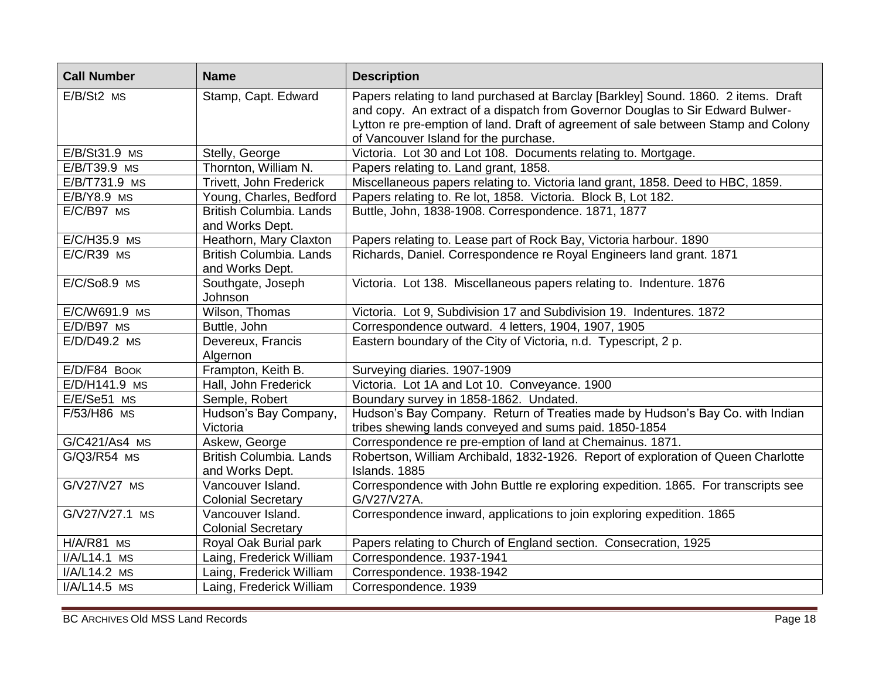| <b>Call Number</b> | <b>Name</b>                                       | <b>Description</b>                                                                                                                                                                                                                                                                                  |
|--------------------|---------------------------------------------------|-----------------------------------------------------------------------------------------------------------------------------------------------------------------------------------------------------------------------------------------------------------------------------------------------------|
| $E/B/St2$ MS       | Stamp, Capt. Edward                               | Papers relating to land purchased at Barclay [Barkley] Sound. 1860. 2 items. Draft<br>and copy. An extract of a dispatch from Governor Douglas to Sir Edward Bulwer-<br>Lytton re pre-emption of land. Draft of agreement of sale between Stamp and Colony<br>of Vancouver Island for the purchase. |
| E/B/St31.9 MS      | Stelly, George                                    | Victoria. Lot 30 and Lot 108. Documents relating to. Mortgage.                                                                                                                                                                                                                                      |
| E/B/T39.9 MS       | Thornton, William N.                              | Papers relating to. Land grant, 1858.                                                                                                                                                                                                                                                               |
| E/B/T731.9 MS      | Trivett, John Frederick                           | Miscellaneous papers relating to. Victoria land grant, 1858. Deed to HBC, 1859.                                                                                                                                                                                                                     |
| $E/B/Y8.9$ MS      | Young, Charles, Bedford                           | Papers relating to. Re lot, 1858. Victoria. Block B, Lot 182.                                                                                                                                                                                                                                       |
| E/C/B97 MS         | <b>British Columbia, Lands</b><br>and Works Dept. | Buttle, John, 1838-1908. Correspondence. 1871, 1877                                                                                                                                                                                                                                                 |
| E/C/H35.9 MS       | Heathorn, Mary Claxton                            | Papers relating to. Lease part of Rock Bay, Victoria harbour. 1890                                                                                                                                                                                                                                  |
| $E/C/R39$ MS       | <b>British Columbia, Lands</b><br>and Works Dept. | Richards, Daniel. Correspondence re Royal Engineers land grant. 1871                                                                                                                                                                                                                                |
| E/C/So8.9 MS       | Southgate, Joseph<br>Johnson                      | Victoria. Lot 138. Miscellaneous papers relating to. Indenture. 1876                                                                                                                                                                                                                                |
| E/C/W691.9 MS      | Wilson, Thomas                                    | Victoria. Lot 9, Subdivision 17 and Subdivision 19. Indentures. 1872                                                                                                                                                                                                                                |
| E/D/B97 MS         | Buttle, John                                      | Correspondence outward. 4 letters, 1904, 1907, 1905                                                                                                                                                                                                                                                 |
| E/D/D49.2 MS       | Devereux, Francis<br>Algernon                     | Eastern boundary of the City of Victoria, n.d. Typescript, 2 p.                                                                                                                                                                                                                                     |
| E/D/F84 BOOK       | Frampton, Keith B.                                | Surveying diaries. 1907-1909                                                                                                                                                                                                                                                                        |
| E/D/H141.9 MS      | Hall, John Frederick                              | Victoria. Lot 1A and Lot 10. Conveyance. 1900                                                                                                                                                                                                                                                       |
| E/E/Se51 MS        | Semple, Robert                                    | Boundary survey in 1858-1862. Undated.                                                                                                                                                                                                                                                              |
| F/53/H86 MS        | Hudson's Bay Company,<br>Victoria                 | Hudson's Bay Company. Return of Treaties made by Hudson's Bay Co. with Indian<br>tribes shewing lands conveyed and sums paid. 1850-1854                                                                                                                                                             |
| G/C421/As4 MS      | Askew, George                                     | Correspondence re pre-emption of land at Chemainus. 1871.                                                                                                                                                                                                                                           |
| G/Q3/R54 MS        | British Columbia. Lands<br>and Works Dept.        | Robertson, William Archibald, 1832-1926. Report of exploration of Queen Charlotte<br>Islands. 1885                                                                                                                                                                                                  |
| G/V27/V27 MS       | Vancouver Island.<br><b>Colonial Secretary</b>    | Correspondence with John Buttle re exploring expedition. 1865. For transcripts see<br>G/V27/V27A.                                                                                                                                                                                                   |
| G/V27/V27.1 MS     | Vancouver Island.<br><b>Colonial Secretary</b>    | Correspondence inward, applications to join exploring expedition. 1865                                                                                                                                                                                                                              |
| H/A/R81 MS         | Royal Oak Burial park                             | Papers relating to Church of England section. Consecration, 1925                                                                                                                                                                                                                                    |
| I/A/L14.1 MS       | Laing, Frederick William                          | Correspondence. 1937-1941                                                                                                                                                                                                                                                                           |
| I/A/L14.2 MS       | Laing, Frederick William                          | Correspondence. 1938-1942                                                                                                                                                                                                                                                                           |
| I/A/L14.5 MS       | Laing, Frederick William                          | Correspondence. 1939                                                                                                                                                                                                                                                                                |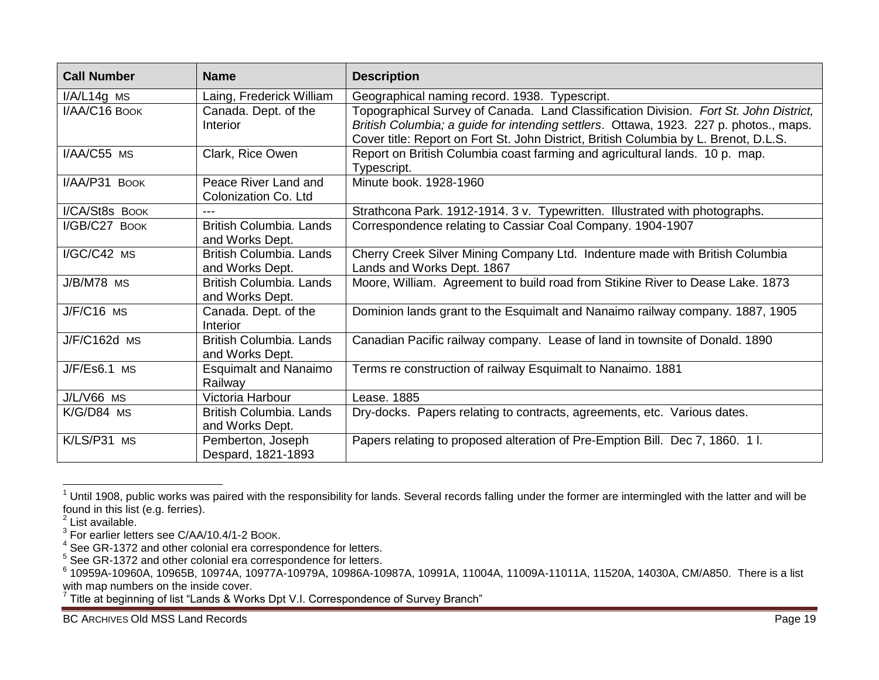| <b>Call Number</b> | <b>Name</b>                                       | <b>Description</b>                                                                                                                                                                                                                                                     |
|--------------------|---------------------------------------------------|------------------------------------------------------------------------------------------------------------------------------------------------------------------------------------------------------------------------------------------------------------------------|
| $I/A/L14g$ MS      | Laing, Frederick William                          | Geographical naming record. 1938. Typescript.                                                                                                                                                                                                                          |
| I/AA/C16 BOOK      | Canada. Dept. of the<br><b>Interior</b>           | Topographical Survey of Canada. Land Classification Division. Fort St. John District,<br>British Columbia; a guide for intending settlers. Ottawa, 1923. 227 p. photos., maps.<br>Cover title: Report on Fort St. John District, British Columbia by L. Brenot, D.L.S. |
| I/AA/C55 MS        | Clark, Rice Owen                                  | Report on British Columbia coast farming and agricultural lands. 10 p. map.<br>Typescript.                                                                                                                                                                             |
| I/AA/P31 BOOK      | Peace River Land and<br>Colonization Co. Ltd      | Minute book. 1928-1960                                                                                                                                                                                                                                                 |
| I/CA/St8s BOOK     |                                                   | Strathcona Park. 1912-1914. 3 v. Typewritten. Illustrated with photographs.                                                                                                                                                                                            |
| I/GB/C27 BOOK      | <b>British Columbia, Lands</b><br>and Works Dept. | Correspondence relating to Cassiar Coal Company. 1904-1907                                                                                                                                                                                                             |
| I/GC/C42 MS        | <b>British Columbia, Lands</b><br>and Works Dept. | Cherry Creek Silver Mining Company Ltd. Indenture made with British Columbia<br>Lands and Works Dept. 1867                                                                                                                                                             |
| J/B/M78 MS         | <b>British Columbia, Lands</b><br>and Works Dept. | Moore, William. Agreement to build road from Stikine River to Dease Lake. 1873                                                                                                                                                                                         |
| $J/F/C16$ MS       | Canada. Dept. of the<br><b>Interior</b>           | Dominion lands grant to the Esquimalt and Nanaimo railway company. 1887, 1905                                                                                                                                                                                          |
| J/F/C162d MS       | <b>British Columbia, Lands</b><br>and Works Dept. | Canadian Pacific railway company. Lease of land in townsite of Donald. 1890                                                                                                                                                                                            |
| $J/F/Es6.1$ MS     | <b>Esquimalt and Nanaimo</b><br>Railway           | Terms re construction of railway Esquimalt to Nanaimo. 1881                                                                                                                                                                                                            |
| J/L/V66 MS         | Victoria Harbour                                  | Lease. 1885                                                                                                                                                                                                                                                            |
| K/G/D84 MS         | <b>British Columbia, Lands</b><br>and Works Dept. | Dry-docks. Papers relating to contracts, agreements, etc. Various dates.                                                                                                                                                                                               |
| K/LS/P31 MS        | Pemberton, Joseph<br>Despard, 1821-1893           | Papers relating to proposed alteration of Pre-Emption Bill. Dec 7, 1860. 1 l.                                                                                                                                                                                          |

 $1$  Until 1908, public works was paired with the responsibility for lands. Several records falling under the former are intermingled with the latter and will be found in this list (e.g. ferries). 2 List available.

<sup>&</sup>lt;sup>3</sup> For earlier letters see C/AA/10.4/1-2 Book.<br><sup>4</sup> See GR-1372 and other colonial era correspondence for letters.<br><sup>5</sup> See GR-1372 and other colonial era correspondence for letters.<br><sup>6</sup> 10959A-10960A, 10965B, 10974A, 10977 with map numbers on the inside cover.

 $7$  Title at beginning of list "Lands & Works Dpt V.I. Correspondence of Survey Branch"